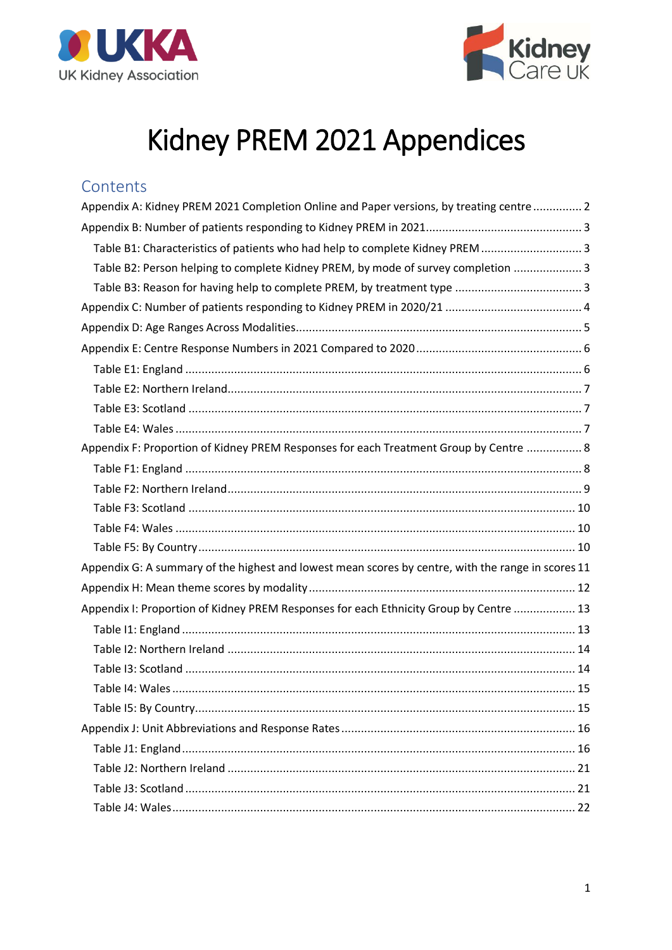



# Kidney PREM 2021 Appendices

#### Contents

| Appendix A: Kidney PREM 2021 Completion Online and Paper versions, by treating centre 2            |  |
|----------------------------------------------------------------------------------------------------|--|
|                                                                                                    |  |
| Table B1: Characteristics of patients who had help to complete Kidney PREM  3                      |  |
| Table B2: Person helping to complete Kidney PREM, by mode of survey completion  3                  |  |
|                                                                                                    |  |
|                                                                                                    |  |
|                                                                                                    |  |
|                                                                                                    |  |
|                                                                                                    |  |
|                                                                                                    |  |
|                                                                                                    |  |
|                                                                                                    |  |
| Appendix F: Proportion of Kidney PREM Responses for each Treatment Group by Centre  8              |  |
|                                                                                                    |  |
|                                                                                                    |  |
|                                                                                                    |  |
|                                                                                                    |  |
|                                                                                                    |  |
| Appendix G: A summary of the highest and lowest mean scores by centre, with the range in scores 11 |  |
|                                                                                                    |  |
| Appendix I: Proportion of Kidney PREM Responses for each Ethnicity Group by Centre  13             |  |
|                                                                                                    |  |
|                                                                                                    |  |
|                                                                                                    |  |
|                                                                                                    |  |
|                                                                                                    |  |
|                                                                                                    |  |
|                                                                                                    |  |
|                                                                                                    |  |
|                                                                                                    |  |
|                                                                                                    |  |
|                                                                                                    |  |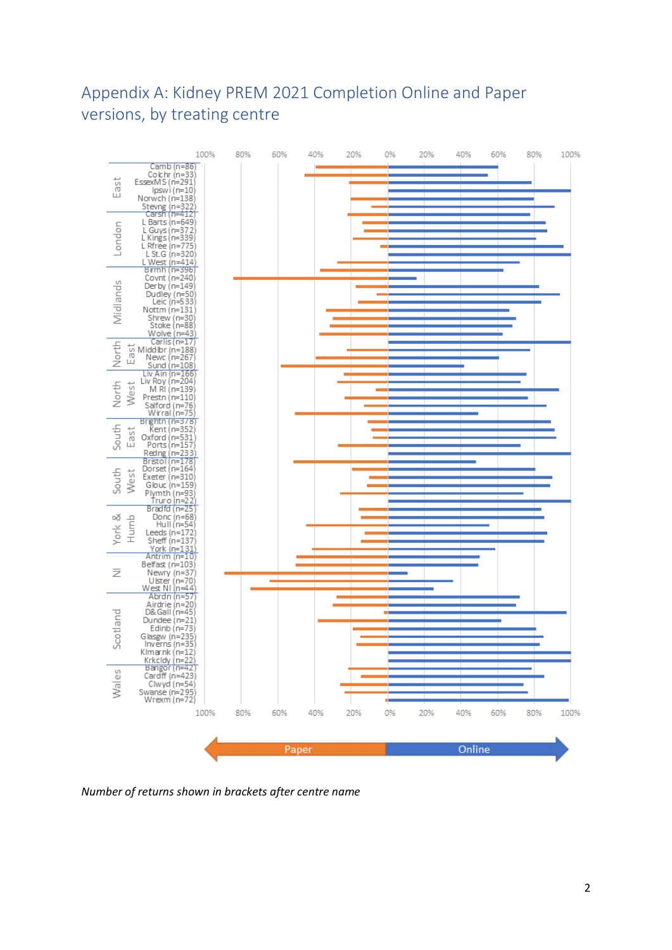# <span id="page-1-0"></span>Appendix A: Kidney PREM 2021 Completion Online and Paper versions, by treating centre



*Number of returns shown in brackets after centre name*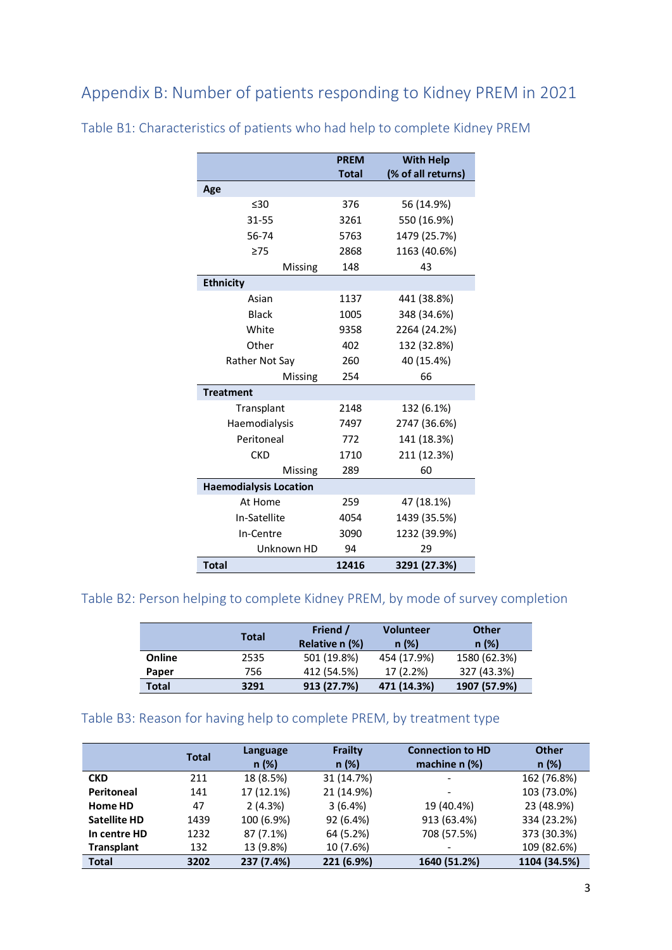<span id="page-2-0"></span>Appendix B: Number of patients responding to Kidney PREM in 2021

|                               | <b>PREM</b><br><b>Total</b> | <b>With Help</b><br>(% of all returns) |
|-------------------------------|-----------------------------|----------------------------------------|
| Age                           |                             |                                        |
| $\leq 30$                     | 376                         | 56 (14.9%)                             |
| 31-55                         | 3261                        | 550 (16.9%)                            |
| 56-74                         | 5763                        | 1479 (25.7%)                           |
| $\geq$ 75                     | 2868                        | 1163 (40.6%)                           |
| Missing                       | 148                         | 43                                     |
| <b>Ethnicity</b>              |                             |                                        |
| Asian                         | 1137                        | 441 (38.8%)                            |
| <b>Black</b>                  | 1005                        | 348 (34.6%)                            |
| White                         | 9358                        | 2264 (24.2%)                           |
| Other                         | 402                         | 132 (32.8%)                            |
| Rather Not Say                | 260                         | 40 (15.4%)                             |
| Missing                       | 254                         | 66                                     |
| <b>Treatment</b>              |                             |                                        |
| Transplant                    | 2148                        | 132 (6.1%)                             |
| Haemodialysis                 | 7497                        | 2747 (36.6%)                           |
| Peritoneal                    | 772                         | 141 (18.3%)                            |
| <b>CKD</b>                    | 1710                        | 211 (12.3%)                            |
| Missing                       | 289                         | 60                                     |
| <b>Haemodialysis Location</b> |                             |                                        |
| At Home                       | 259                         | 47 (18.1%)                             |
| In-Satellite                  | 4054                        | 1439 (35.5%)                           |
| In-Centre                     | 3090                        | 1232 (39.9%)                           |
| Unknown HD                    | 94                          | 29                                     |
| <b>Total</b>                  | 12416                       | 3291 (27.3%)                           |

<span id="page-2-1"></span>Table B1: Characteristics of patients who had help to complete Kidney PREM

### <span id="page-2-2"></span>Table B2: Person helping to complete Kidney PREM, by mode of survey completion

|              | <b>Total</b> | Friend /<br>Relative n (%) | <b>Volunteer</b><br>n(%) | <b>Other</b><br>n(%) |  |
|--------------|--------------|----------------------------|--------------------------|----------------------|--|
| Online       | 2535         | 501 (19.8%)                | 454 (17.9%)              | 1580 (62.3%)         |  |
| Paper        | 756          | 412 (54.5%)                | 17 (2.2%)                | 327 (43.3%)          |  |
| <b>Total</b> | 3291         | 913 (27.7%)                | 471 (14.3%)              | 1907 (57.9%)         |  |

#### <span id="page-2-3"></span>Table B3: Reason for having help to complete PREM, by treatment type

|                     | <b>Total</b> | Language<br>n(%) | Frailty<br>n(%) | <b>Connection to HD</b><br>machine $n$ (%) | <b>Other</b><br>n(%) |
|---------------------|--------------|------------------|-----------------|--------------------------------------------|----------------------|
| <b>CKD</b>          | 211          | 18 (8.5%)        | 31 (14.7%)      |                                            | 162 (76.8%)          |
| <b>Peritoneal</b>   | 141          | 17 (12.1%)       | 21 (14.9%)      |                                            | 103 (73.0%)          |
| Home HD             | 47           | 2(4.3%)          | 3(6.4%)         | 19 (40.4%)                                 | 23 (48.9%)           |
| <b>Satellite HD</b> | 1439         | 100 (6.9%)       | 92 (6.4%)       | 913 (63.4%)                                | 334 (23.2%)          |
| In centre HD        | 1232         | 87 (7.1%)        | 64 (5.2%)       | 708 (57.5%)                                | 373 (30.3%)          |
| <b>Transplant</b>   | 132          | 13 (9.8%)        | 10 (7.6%)       |                                            | 109 (82.6%)          |
| <b>Total</b>        | 3202         | 237 (7.4%)       | 221 (6.9%)      | 1640 (51.2%)                               | 1104 (34.5%)         |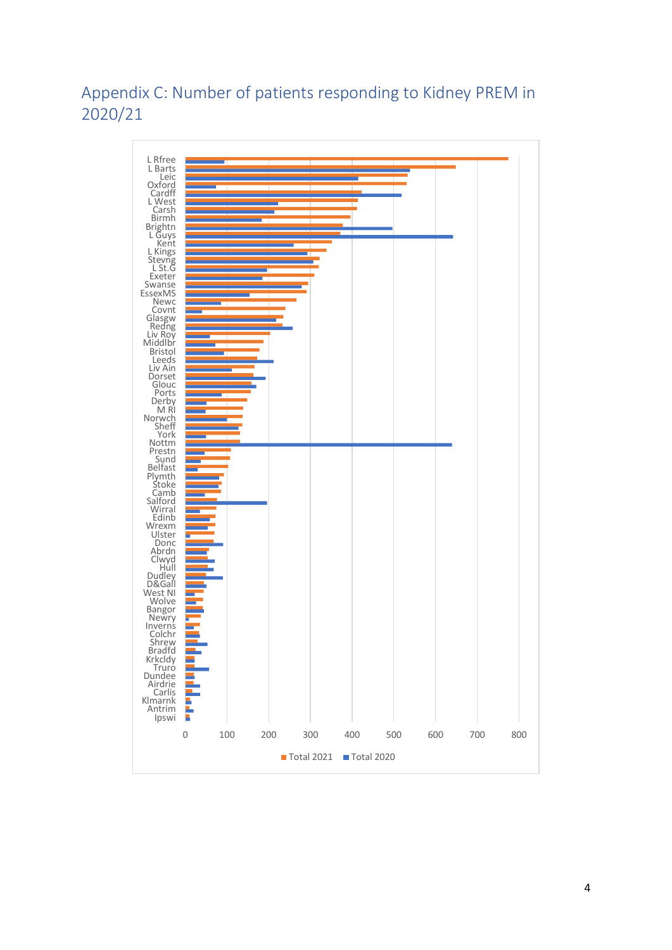# <span id="page-3-0"></span>Appendix C: Number of patients responding to Kidney PREM in 2020/21

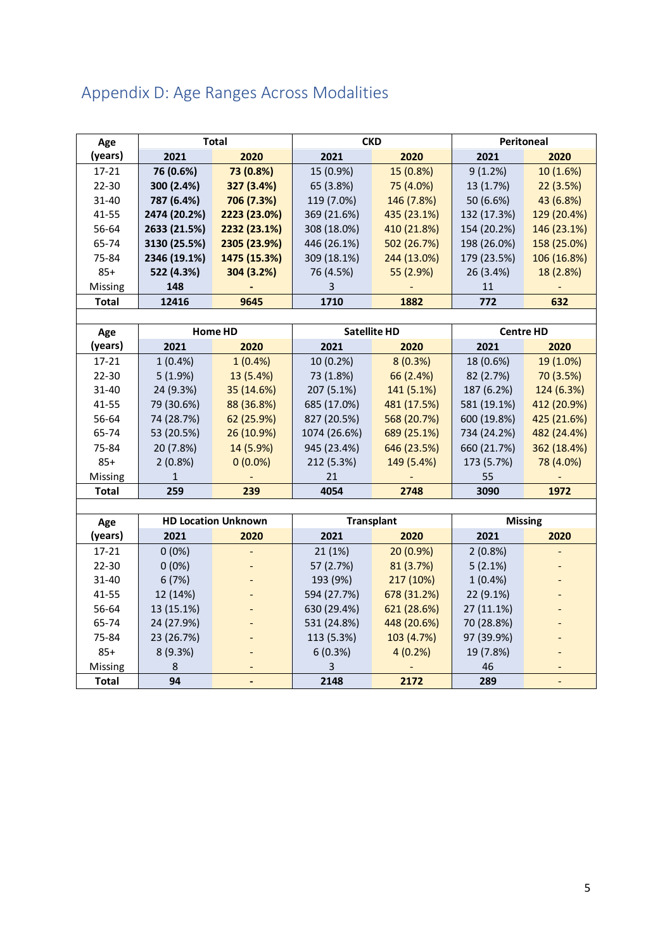# <span id="page-4-0"></span>Appendix D: Age Ranges Across Modalities

| Age          |              | <b>Total</b>               |              | <b>CKD</b>          |             | <b>Peritoneal</b> |  |
|--------------|--------------|----------------------------|--------------|---------------------|-------------|-------------------|--|
| (years)      | 2021         | 2020                       | 2021         | 2020                | 2021        | 2020              |  |
| 17-21        | 76 (0.6%)    | 73 (0.8%)                  | 15 (0.9%)    | 15 (0.8%)           | 9(1.2%)     | 10 (1.6%)         |  |
| 22-30        | 300 (2.4%)   | 327 (3.4%)                 | 65 (3.8%)    | 75 (4.0%)           | 13 (1.7%)   | 22(3.5%)          |  |
| $31 - 40$    | 787 (6.4%)   | 706 (7.3%)                 | 119 (7.0%)   | 146 (7.8%)          | 50 (6.6%)   | 43 (6.8%)         |  |
| 41-55        | 2474 (20.2%) | 2223 (23.0%)               | 369 (21.6%)  | 435 (23.1%)         | 132 (17.3%) | 129 (20.4%)       |  |
| 56-64        | 2633 (21.5%) | 2232 (23.1%)               | 308 (18.0%)  | 410 (21.8%)         | 154 (20.2%) | 146 (23.1%)       |  |
| 65-74        | 3130 (25.5%) | 2305 (23.9%)               | 446 (26.1%)  | 502 (26.7%)         | 198 (26.0%) | 158 (25.0%)       |  |
| 75-84        | 2346 (19.1%) | 1475 (15.3%)               | 309 (18.1%)  | 244 (13.0%)         | 179 (23.5%) | 106 (16.8%)       |  |
| $85+$        | 522 (4.3%)   | 304 (3.2%)                 | 76 (4.5%)    | 55 (2.9%)           | 26 (3.4%)   | 18 (2.8%)         |  |
| Missing      | 148          |                            | 3            |                     | 11          |                   |  |
| <b>Total</b> | 12416        | 9645                       | 1710         | 1882                | 772         | 632               |  |
|              |              |                            |              |                     |             |                   |  |
| Age          |              | <b>Home HD</b>             |              | <b>Satellite HD</b> |             | <b>Centre HD</b>  |  |
| (years)      | 2021         | 2020                       | 2021         | 2020                | 2021        | 2020              |  |
| $17 - 21$    | $1(0.4\%)$   | $1(0.4\%)$                 | 10 (0.2%)    | 8(0.3%)             | 18 (0.6%)   | 19 (1.0%)         |  |
| 22-30        | 5(1.9%)      | 13 (5.4%)                  | 73 (1.8%)    | 66 (2.4%)           | 82 (2.7%)   | 70 (3.5%)         |  |
| 31-40        | 24 (9.3%)    | 35 (14.6%)                 | 207 (5.1%)   | 141 (5.1%)          | 187 (6.2%)  | 124 (6.3%)        |  |
| 41-55        | 79 (30.6%)   | 88 (36.8%)                 | 685 (17.0%)  | 481 (17.5%)         | 581 (19.1%) | 412 (20.9%)       |  |
| 56-64        | 74 (28.7%)   | 62 (25.9%)                 | 827 (20.5%)  | 568 (20.7%)         | 600 (19.8%) | 425 (21.6%)       |  |
| 65-74        | 53 (20.5%)   | 26 (10.9%)                 | 1074 (26.6%) | 689 (25.1%)         | 734 (24.2%) | 482 (24.4%)       |  |
| 75-84        | 20 (7.8%)    | 14 (5.9%)                  | 945 (23.4%)  | 646 (23.5%)         | 660 (21.7%) | 362 (18.4%)       |  |
| $85+$        | $2(0.8\%)$   | $0(0.0\%)$                 | 212 (5.3%)   | 149 (5.4%)          | 173 (5.7%)  | 78 (4.0%)         |  |
| Missing      | 1            |                            | 21           |                     | 55          |                   |  |
| <b>Total</b> | 259          | 239                        | 4054         | 2748                | 3090        | 1972              |  |
|              |              |                            |              |                     |             |                   |  |
| Age          |              | <b>HD Location Unknown</b> |              | <b>Transplant</b>   |             | <b>Missing</b>    |  |
| (years)      | 2021         | 2020                       | 2021         | 2020                | 2021        | 2020              |  |
| 17-21        | $0(0\%)$     |                            | 21(1%)       | 20 (0.9%)           | 2(0.8%)     |                   |  |
| 22-30        | $0(0\%)$     |                            | 57 (2.7%)    | 81 (3.7%)           | 5(2.1%)     |                   |  |
| 31-40        | 6(7%)        |                            | 193 (9%)     | 217 (10%)           | $1(0.4\%)$  |                   |  |
| 41-55        | 12 (14%)     |                            | 594 (27.7%)  | 678 (31.2%)         | 22 (9.1%)   |                   |  |
| 56-64        | 13 (15.1%)   |                            | 630 (29.4%)  | 621 (28.6%)         | 27 (11.1%)  |                   |  |
| 65-74        | 24 (27.9%)   |                            | 531 (24.8%)  | 448 (20.6%)         | 70 (28.8%)  |                   |  |
| 75-84        | 23 (26.7%)   |                            | 113 (5.3%)   | 103 (4.7%)          | 97 (39.9%)  |                   |  |
| $85+$        | 8 (9.3%)     |                            | 6(0.3%)      | 4(0.2%)             | 19 (7.8%)   |                   |  |
| Missing      | 8            |                            | 3            |                     | 46          |                   |  |
| <b>Total</b> | 94           |                            | 2148         | 2172                | 289         |                   |  |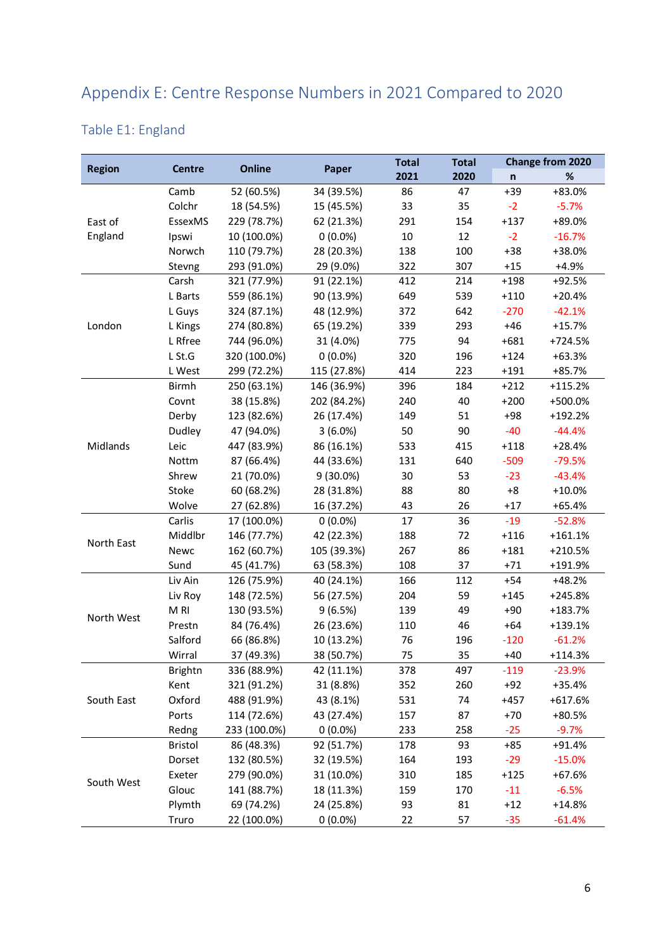# <span id="page-5-0"></span>Appendix E: Centre Response Numbers in 2021 Compared to 2020

### <span id="page-5-1"></span>Table E1: England

|               |                 |               |             | <b>Total</b>        | <b>Total</b> |              | <b>Change from 2020</b> |
|---------------|-----------------|---------------|-------------|---------------------|--------------|--------------|-------------------------|
| <b>Region</b> | <b>Centre</b>   | <b>Online</b> | Paper       | 2021                | 2020         | $\mathsf{n}$ | $\%$                    |
|               | Camb            | 52 (60.5%)    | 34 (39.5%)  | 86                  | 47           | $+39$        | +83.0%                  |
|               | Colchr          | 18 (54.5%)    | 15 (45.5%)  | 33                  | 35           | $-2$         | $-5.7%$                 |
| East of       | EssexMS         | 229 (78.7%)   | 62 (21.3%)  | 291                 | 154          | $+137$       | +89.0%                  |
| England       | Ipswi           | 10 (100.0%)   | $0(0.0\%)$  | 10                  | 12           | $-2$         | $-16.7%$                |
|               | Norwch          | 110 (79.7%)   | 28 (20.3%)  | 138                 | 100          | $+38$        | +38.0%                  |
|               | Stevng          | 293 (91.0%)   | 29 (9.0%)   | 322                 | 307          | $+15$        | +4.9%                   |
|               | Carsh           | 321 (77.9%)   | 91 (22.1%)  | 412                 | 214          | $+198$       | +92.5%                  |
|               | L Barts         | 559 (86.1%)   | 90 (13.9%)  | 649                 | 539          | $+110$       | $+20.4%$                |
|               | L Guys          | 324 (87.1%)   | 48 (12.9%)  | 372                 | 642          | $-270$       | $-42.1%$                |
| London        | L Kings         | 274 (80.8%)   | 65 (19.2%)  | 339                 | 293          | $+46$        | $+15.7%$                |
|               | L Rfree         | 744 (96.0%)   | 31 (4.0%)   | 775                 | 94           | $+681$       | +724.5%                 |
|               | $L$ St.G        | 320 (100.0%)  | $0(0.0\%)$  | 320                 | 196          | $+124$       | $+63.3%$                |
|               | L West          | 299 (72.2%)   | 115 (27.8%) | 414                 | 223          | $+191$       | +85.7%                  |
|               | <b>Birmh</b>    | 250 (63.1%)   | 146 (36.9%) | 396                 | 184          | $+212$       | $+115.2%$               |
|               | Covnt           | 38 (15.8%)    | 202 (84.2%) | 240                 | 40           | $+200$       | +500.0%                 |
|               | Derby           | 123 (82.6%)   | 26 (17.4%)  | 149                 | 51           | $+98$        | +192.2%                 |
|               | Dudley          | 47 (94.0%)    | $3(6.0\%)$  | 50                  | 90           | $-40$        | $-44.4%$                |
| Midlands      | Leic            | 447 (83.9%)   | 86 (16.1%)  | 533                 | 415          | $+118$       | $+28.4%$                |
|               | Nottm           | 87 (66.4%)    | 44 (33.6%)  | 131                 | 640          | $-509$       | $-79.5%$                |
|               | Shrew           | 21 (70.0%)    | 9 (30.0%)   | 30                  | 53           | $-23$        | $-43.4%$                |
|               | Stoke           | 60 (68.2%)    | 28 (31.8%)  | 88                  | 80           | $+8$         | $+10.0%$                |
|               | Wolve           | 27 (62.8%)    | 16 (37.2%)  | 43                  | 26           | $+17$        | $+65.4%$                |
|               | Carlis          | 17 (100.0%)   | $0(0.0\%)$  | 17                  | 36           | $-19$        | $-52.8%$                |
|               | Middlbr         | 146 (77.7%)   | 42 (22.3%)  | 188                 | 72           | $+116$       | $+161.1%$               |
| North East    | Newc            | 162 (60.7%)   | 105 (39.3%) | 267                 | 86           | $+181$       | $+210.5%$               |
|               | Sund            | 45 (41.7%)    | 63 (58.3%)  | 108                 | 37           | $+71$        | +191.9%                 |
|               | Liv Ain         | 126 (75.9%)   | 40 (24.1%)  | 166<br>$+54$<br>112 |              | $+48.2%$     |                         |
|               | Liv Roy         | 148 (72.5%)   | 56 (27.5%)  | 204                 | 59           | $+145$       | +245.8%                 |
|               | M <sub>RI</sub> | 130 (93.5%)   | 9(6.5%)     | 139                 | 49           | $+90$        | +183.7%                 |
| North West    | Prestn          | 84 (76.4%)    | 26 (23.6%)  | 110                 | 46           | $+64$        | +139.1%                 |
|               | Salford         | 66 (86.8%)    | 10 (13.2%)  | 76                  | 196          | $-120$       | $-61.2%$                |
|               | Wirral          | 37 (49.3%)    | 38 (50.7%)  | 75                  | 35           | $+40$        | $+114.3%$               |
|               | <b>Brightn</b>  | 336 (88.9%)   | 42 (11.1%)  | 378                 | 497          | $-119$       | $-23.9%$                |
|               | Kent            | 321 (91.2%)   | 31 (8.8%)   | 352                 | 260          | $+92$        | +35.4%                  |
| South East    | Oxford          | 488 (91.9%)   | 43 (8.1%)   | 531                 | 74           | $+457$       | $+617.6%$               |
|               | Ports           | 114 (72.6%)   | 43 (27.4%)  | 157                 | 87           | $+70$        | +80.5%                  |
|               | Redng           | 233 (100.0%)  | $0(0.0\%)$  | 233                 | 258          | $-25$        | $-9.7%$                 |
|               | <b>Bristol</b>  | 86 (48.3%)    | 92 (51.7%)  | 178                 | 93           | $+85$        | +91.4%                  |
|               | Dorset          | 132 (80.5%)   | 32 (19.5%)  | 164                 | 193          | $-29$        | $-15.0%$                |
| South West    | Exeter          | 279 (90.0%)   | 31 (10.0%)  | 310                 | 185          | $+125$       | +67.6%                  |
|               | Glouc           | 141 (88.7%)   | 18 (11.3%)  | 159                 | 170          | $-11$        | $-6.5%$                 |
|               | Plymth          | 69 (74.2%)    | 24 (25.8%)  | 93                  | 81           | $+12$        | $+14.8%$                |
|               | Truro           | 22 (100.0%)   | $0(0.0\%)$  | 22                  | 57           | $-35$        | $-61.4%$                |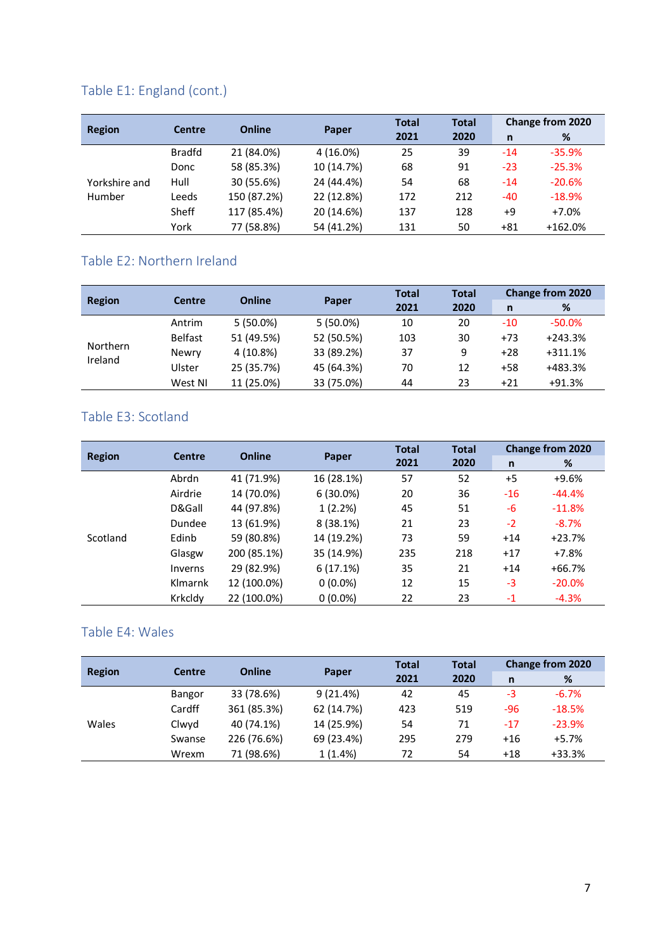# Table E1: England (cont.)

|               |               |               |            | <b>Total</b> | <b>Total</b> |       | <b>Change from 2020</b> |
|---------------|---------------|---------------|------------|--------------|--------------|-------|-------------------------|
| <b>Region</b> | <b>Centre</b> | <b>Online</b> | Paper      | 2021         | 2020         | n     | %                       |
|               | <b>Bradfd</b> | 21 (84.0%)    | 4 (16.0%)  | 25           | 39           | -14   | $-35.9%$                |
|               | Donc          | 58 (85.3%)    | 10 (14.7%) | 68           | 91           | $-23$ | $-25.3%$                |
| Yorkshire and | Hull          | 30 (55.6%)    | 24 (44.4%) | 54           | 68           | -14   | $-20.6%$                |
| Humber        | Leeds         | 150 (87.2%)   | 22 (12.8%) | 172          | 212          | -40   | $-18.9%$                |
|               | Sheff         | 117 (85.4%)   | 20 (14.6%) | 137          | 128          | +9    | $+7.0%$                 |
|               | York          | 77 (58.8%)    | 54 (41.2%) | 131          | 50           | +81   | $+162.0%$               |

### <span id="page-6-0"></span>Table E2: Northern Ireland

|                            | <b>Centre</b>  | <b>Online</b> | Paper       | <b>Total</b> | <b>Total</b> |       | <b>Change from 2020</b> |  |
|----------------------------|----------------|---------------|-------------|--------------|--------------|-------|-------------------------|--|
| <b>Region</b>              |                |               |             | 2021         | 2020         | n     | %                       |  |
|                            | Antrim         | $5(50.0\%)$   | $5(50.0\%)$ | 10           | 20           | $-10$ | $-50.0%$                |  |
|                            | <b>Belfast</b> | 51 (49.5%)    | 52 (50.5%)  | 103          | 30           | $+73$ | $+243.3%$               |  |
| <b>Northern</b><br>Ireland | Newry          | 4 (10.8%)     | 33 (89.2%)  | 37           | 9            | $+28$ | $+311.1%$               |  |
|                            | Ulster         | 25 (35.7%)    | 45 (64.3%)  | 70           | 12           | $+58$ | +483.3%                 |  |
|                            | West NI        | 11 (25.0%)    | 33 (75.0%)  | 44           | 23           | $+21$ | $+91.3%$                |  |

### <span id="page-6-1"></span>Table E3: Scotland

|               | <b>Centre</b> | <b>Online</b> |             | <b>Total</b> | <b>Total</b> |       | <b>Change from 2020</b> |
|---------------|---------------|---------------|-------------|--------------|--------------|-------|-------------------------|
| <b>Region</b> |               |               | Paper       | 2021         | 2020         | n     | %                       |
|               | Abrdn         | 41 (71.9%)    | 16 (28.1%)  | 57           | 52           | $+5$  | $+9.6%$                 |
|               | Airdrie       | 14 (70.0%)    | $6(30.0\%)$ | 20           | 36           | $-16$ | $-44.4%$                |
|               | D&Gall        | 44 (97.8%)    | 1(2.2%)     | 45           | 51           | $-6$  | $-11.8%$                |
|               | Dundee        | 13 (61.9%)    | 8 (38.1%)   | 21           | 23           | $-2$  | $-8.7%$                 |
| Scotland      | Edinb         | 59 (80.8%)    | 14 (19.2%)  | 73           | 59           | $+14$ | $+23.7%$                |
|               | Glasgw        | 200 (85.1%)   | 35 (14.9%)  | 235          | 218          | $+17$ | $+7.8%$                 |
|               | Inverns       | 29 (82.9%)    | 6(17.1%)    | 35           | 21           | $+14$ | $+66.7%$                |
|               | Klmarnk       | 12 (100.0%)   | $0(0.0\%)$  | 12           | 15           | -3    | $-20.0%$                |
|               | Krkcldy       | 22 (100.0%)   | $0(0.0\%)$  | 22           | 23           | $-1$  | $-4.3%$                 |

#### <span id="page-6-2"></span>Table E4: Wales

| <b>Region</b> | <b>Centre</b> | <b>Online</b> |            | <b>Total</b> | <b>Total</b> |       | <b>Change from 2020</b> |
|---------------|---------------|---------------|------------|--------------|--------------|-------|-------------------------|
|               |               |               | Paper      | 2021         | 2020         | n     | %                       |
|               | Bangor        | 33 (78.6%)    | 9(21.4%)   | 42           | 45           | -3    | $-6.7%$                 |
|               | Cardff        | 361 (85.3%)   | 62 (14.7%) | 423          | 519          | -96   | $-18.5%$                |
| Wales         | Clwyd         | 40 (74.1%)    | 14 (25.9%) | 54           | 71           | $-17$ | $-23.9%$                |
|               | Swanse        | 226 (76.6%)   | 69 (23.4%) | 295          | 279          | $+16$ | $+5.7%$                 |
|               | Wrexm         | 71 (98.6%)    | 1(1.4%)    | 72           | 54           | $+18$ | $+33.3%$                |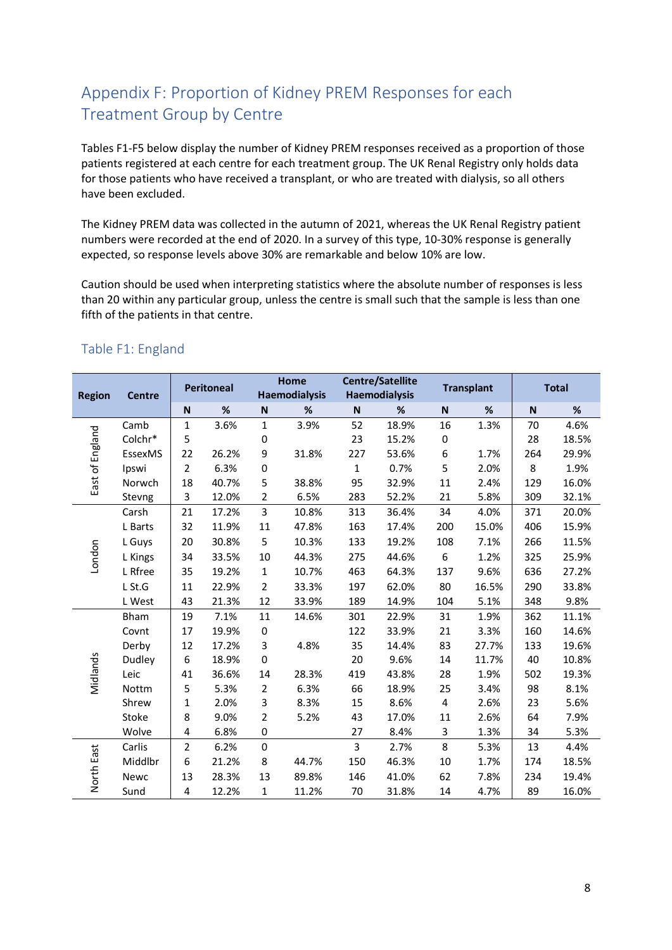# <span id="page-7-0"></span>Appendix F: Proportion of Kidney PREM Responses for each Treatment Group by Centre

Tables F1-F5 below display the number of Kidney PREM responses received as a proportion of those patients registered at each centre for each treatment group. The UK Renal Registry only holds data for those patients who have received a transplant, or who are treated with dialysis, so all others have been excluded.

The Kidney PREM data was collected in the autumn of 2021, whereas the UK Renal Registry patient numbers were recorded at the end of 2020. In a survey of this type, 10-30% response is generally expected, so response levels above 30% are remarkable and below 10% are low.

Caution should be used when interpreting statistics where the absolute number of responses is less than 20 within any particular group, unless the centre is small such that the sample is less than one fifth of the patients in that centre.

| <b>Region</b>   | <b>Centre</b> |                | <b>Peritoneal</b> |                | Home<br><b>Haemodialysis</b> |             | <b>Centre/Satellite</b><br><b>Haemodialysis</b> | <b>Transplant</b> |       | <b>Total</b> |       |
|-----------------|---------------|----------------|-------------------|----------------|------------------------------|-------------|-------------------------------------------------|-------------------|-------|--------------|-------|
|                 |               | ${\sf N}$      | %                 | $\mathsf{N}$   | $\%$                         | N           | %                                               | ${\sf N}$         | $\%$  | ${\sf N}$    | $\%$  |
|                 | Camb          | $\mathbf{1}$   | 3.6%              | $\mathbf{1}$   | 3.9%                         | 52          | 18.9%                                           | 16                | 1.3%  | 70           | 4.6%  |
|                 | Colchr*       | 5              |                   | 0              |                              | 23          | 15.2%                                           | 0                 |       | 28           | 18.5% |
| East of England | EssexMS       | 22             | 26.2%             | 9              | 31.8%                        | 227         | 53.6%                                           | 6                 | 1.7%  | 264          | 29.9% |
|                 | Ipswi         | 2              | 6.3%              | 0              |                              | $\mathbf 1$ | 0.7%                                            | 5                 | 2.0%  | 8            | 1.9%  |
|                 | Norwch        | 18             | 40.7%             | 5              | 38.8%                        | 95          | 32.9%                                           | 11                | 2.4%  | 129          | 16.0% |
|                 | Stevng        | 3              | 12.0%             | $\overline{2}$ | 6.5%                         | 283         | 52.2%                                           | 21                | 5.8%  | 309          | 32.1% |
|                 | Carsh         | 21             | 17.2%             | $\overline{3}$ | 10.8%                        | 313         | 36.4%                                           | 34                | 4.0%  | 371          | 20.0% |
|                 | L Barts       | 32             | 11.9%             | 11             | 47.8%                        | 163         | 17.4%                                           | 200               | 15.0% | 406          | 15.9% |
|                 | L Guys        | 20             | 30.8%             | 5              | 10.3%                        | 133         | 19.2%                                           | 108               | 7.1%  | 266          | 11.5% |
| London          | L Kings       | 34             | 33.5%             | 10             | 44.3%                        | 275         | 44.6%                                           | 6                 | 1.2%  | 325          | 25.9% |
|                 | L Rfree       | 35             | 19.2%             | $\mathbf{1}$   | 10.7%                        | 463         | 64.3%                                           | 137               | 9.6%  | 636          | 27.2% |
|                 | L St.G        | 11             | 22.9%             | $\overline{2}$ | 33.3%                        | 197         | 62.0%                                           | 80                | 16.5% | 290          | 33.8% |
|                 | L West        | 43             | 21.3%             | 12             | 33.9%                        | 189         | 14.9%                                           | 104               | 5.1%  | 348          | 9.8%  |
|                 | <b>Bham</b>   | 19             | 7.1%              | 11             | 14.6%                        | 301         | 22.9%                                           | 31                | 1.9%  | 362          | 11.1% |
|                 | Covnt         | 17             | 19.9%             | 0              |                              | 122         | 33.9%                                           | 21                | 3.3%  | 160          | 14.6% |
|                 | Derby         | 12             | 17.2%             | 3              | 4.8%                         | 35          | 14.4%                                           | 83                | 27.7% | 133          | 19.6% |
|                 | Dudley        | 6              | 18.9%             | 0              |                              | 20          | 9.6%                                            | 14                | 11.7% | 40           | 10.8% |
| Midlands        | Leic          | 41             | 36.6%             | 14             | 28.3%                        | 419         | 43.8%                                           | 28                | 1.9%  | 502          | 19.3% |
|                 | Nottm         | 5              | 5.3%              | $\overline{2}$ | 6.3%                         | 66          | 18.9%                                           | 25                | 3.4%  | 98           | 8.1%  |
|                 | Shrew         | 1              | 2.0%              | 3              | 8.3%                         | 15          | 8.6%                                            | 4                 | 2.6%  | 23           | 5.6%  |
|                 | Stoke         | 8              | 9.0%              | $\overline{2}$ | 5.2%                         | 43          | 17.0%                                           | 11                | 2.6%  | 64           | 7.9%  |
|                 | Wolve         | 4              | 6.8%              | 0              |                              | 27          | 8.4%                                            | 3                 | 1.3%  | 34           | 5.3%  |
|                 | Carlis        | $\overline{2}$ | 6.2%              | 0              |                              | 3           | 2.7%                                            | 8                 | 5.3%  | 13           | 4.4%  |
|                 | Middlbr       | 6              | 21.2%             | 8              | 44.7%                        | 150         | 46.3%                                           | 10                | 1.7%  | 174          | 18.5% |
| North East      | Newc          | 13             | 28.3%             | 13             | 89.8%                        | 146         | 41.0%                                           | 62                | 7.8%  | 234          | 19.4% |
|                 | Sund          | 4              | 12.2%             | $\mathbf{1}$   | 11.2%                        | 70          | 31.8%                                           | 14                | 4.7%  | 89           | 16.0% |

#### <span id="page-7-1"></span>Table F1: England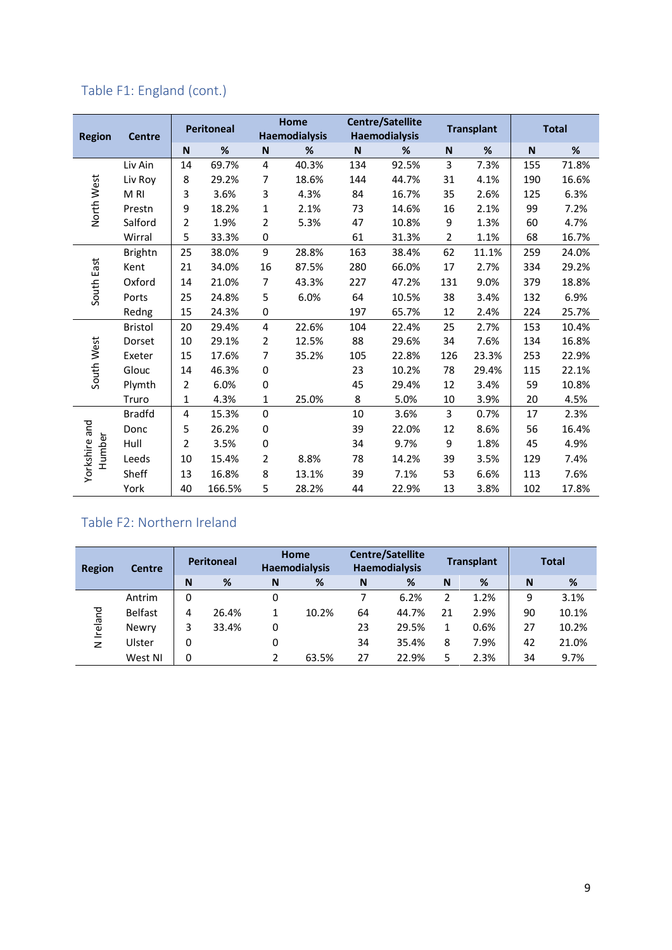# Table F1: England (cont.)

|                         |                |                | <b>Peritoneal</b> |                         | Home<br><b>Haemodialysis</b> |             | <b>Centre/Satellite</b><br><b>Haemodialysis</b> |                | <b>Transplant</b> | <b>Total</b> |       |
|-------------------------|----------------|----------------|-------------------|-------------------------|------------------------------|-------------|-------------------------------------------------|----------------|-------------------|--------------|-------|
| <b>Region</b>           | <b>Centre</b>  | N              | $\%$              | N                       | %                            | $\mathbf N$ | %                                               | $\mathsf N$    | %                 | N            | %     |
|                         | Liv Ain        | 14             | 69.7%             | 4                       | 40.3%                        | 134         | 92.5%                                           | 3              | 7.3%              | 155          | 71.8% |
|                         | Liv Roy        | 8              | 29.2%             | 7                       | 18.6%                        | 144         | 44.7%                                           | 31             | 4.1%              | 190          | 16.6% |
|                         | M RI           | 3              | 3.6%              | 3                       | 4.3%                         | 84          | 16.7%                                           | 35             | 2.6%              | 125          | 6.3%  |
| North West              | Prestn         | 9              | 18.2%             | $\mathbf{1}$            | 2.1%                         | 73          | 14.6%                                           | 16             | 2.1%              | 99           | 7.2%  |
|                         | Salford        | $\overline{2}$ | 1.9%              | 2                       | 5.3%                         | 47          | 10.8%                                           | 9              | 1.3%              | 60           | 4.7%  |
|                         | Wirral         | 5              | 33.3%             | $\pmb{0}$               |                              | 61          | 31.3%                                           | $\overline{2}$ | 1.1%              | 68           | 16.7% |
|                         | <b>Brightn</b> | 25             | 38.0%             | 9                       | 28.8%                        | 163         | 38.4%                                           | 62             | 11.1%             | 259          | 24.0% |
|                         | Kent           | 21             | 34.0%             | 16                      | 87.5%                        | 280         | 66.0%                                           | 17             | 2.7%              | 334          | 29.2% |
| South East              | Oxford         | 14             | 21.0%             | $\overline{7}$          | 43.3%                        | 227         | 47.2%                                           | 131            | 9.0%              | 379          | 18.8% |
|                         | Ports          | 25             | 24.8%             | 5                       | 6.0%                         | 64          | 10.5%                                           | 38             | 3.4%              | 132          | 6.9%  |
|                         | Redng          | 15             | 24.3%             | $\pmb{0}$               |                              | 197         | 65.7%                                           | 12             | 2.4%              | 224          | 25.7% |
|                         | <b>Bristol</b> | 20             | 29.4%             | $\overline{\mathbf{4}}$ | 22.6%                        | 104         | 22.4%                                           | 25             | 2.7%              | 153          | 10.4% |
|                         | Dorset         | 10             | 29.1%             | $\overline{2}$          | 12.5%                        | 88          | 29.6%                                           | 34             | 7.6%              | 134          | 16.8% |
|                         | Exeter         | 15             | 17.6%             | $\overline{7}$          | 35.2%                        | 105         | 22.8%                                           | 126            | 23.3%             | 253          | 22.9% |
| South West              | Glouc          | 14             | 46.3%             | 0                       |                              | 23          | 10.2%                                           | 78             | 29.4%             | 115          | 22.1% |
|                         | Plymth         | 2              | 6.0%              | 0                       |                              | 45          | 29.4%                                           | 12             | 3.4%              | 59           | 10.8% |
|                         | Truro          | $\mathbf{1}$   | 4.3%              | 1                       | 25.0%                        | 8           | 5.0%                                            | 10             | 3.9%              | 20           | 4.5%  |
|                         | <b>Bradfd</b>  | 4              | 15.3%             | 0                       |                              | 10          | 3.6%                                            | 3              | 0.7%              | 17           | 2.3%  |
|                         | Donc           | 5              | 26.2%             | 0                       |                              | 39          | 22.0%                                           | 12             | 8.6%              | 56           | 16.4% |
|                         | Hull           | $\overline{2}$ | 3.5%              | $\pmb{0}$               |                              | 34          | 9.7%                                            | 9              | 1.8%              | 45           | 4.9%  |
| Yorkshire and<br>Humber | Leeds          | 10             | 15.4%             | $\overline{2}$          | 8.8%                         | 78          | 14.2%                                           | 39             | 3.5%              | 129          | 7.4%  |
|                         | Sheff          | 13             | 16.8%             | 8                       | 13.1%                        | 39          | 7.1%                                            | 53             | 6.6%              | 113          | 7.6%  |
|                         | York           | 40             | 166.5%            | 5                       | 28.2%                        | 44          | 22.9%                                           | 13             | 3.8%              | 102          | 17.8% |

#### <span id="page-8-0"></span>Table F2: Northern Ireland

| Region  | <b>Centre</b>  |   | <b>Peritoneal</b> |   | Home<br><b>Haemodialysis</b> |    | <b>Centre/Satellite</b><br><b>Haemodialysis</b> |    | <b>Transplant</b> |    | <b>Total</b> |
|---------|----------------|---|-------------------|---|------------------------------|----|-------------------------------------------------|----|-------------------|----|--------------|
|         |                | N | %                 | N | %                            | N  | %                                               | N  | %                 | N  | %            |
|         | Antrim         | 0 |                   | 0 |                              |    | 6.2%                                            | 2  | 1.2%              | 9  | 3.1%         |
| Ireland | <b>Belfast</b> | 4 | 26.4%             |   | 10.2%                        | 64 | 44.7%                                           | 21 | 2.9%              | 90 | 10.1%        |
|         | Newry          | 3 | 33.4%             | 0 |                              | 23 | 29.5%                                           |    | 0.6%              | 27 | 10.2%        |
| $\geq$  | Ulster         | 0 |                   | 0 |                              | 34 | 35.4%                                           | 8  | 7.9%              | 42 | 21.0%        |
|         | West NI        | 0 |                   | 2 | 63.5%                        | 27 | 22.9%                                           | 5  | 2.3%              | 34 | 9.7%         |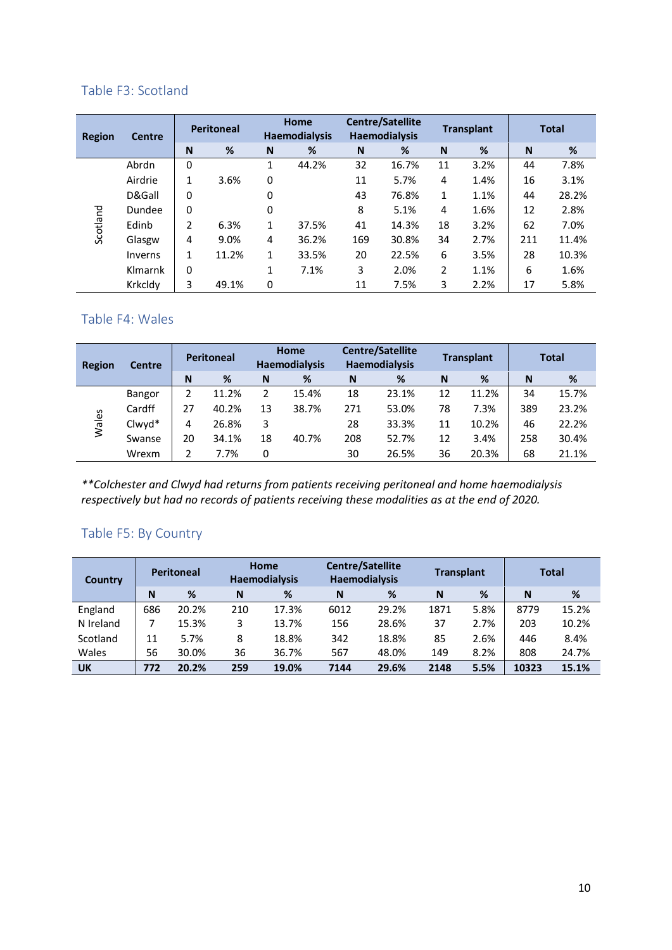#### <span id="page-9-0"></span>Table F3: Scotland

| <b>Region</b> | <b>Centre</b> |   | <b>Peritoneal</b> |              | Home<br><b>Haemodialysis</b> |     | <b>Centre/Satellite</b><br><b>Haemodialysis</b> |              | <b>Transplant</b> |     | <b>Total</b> |
|---------------|---------------|---|-------------------|--------------|------------------------------|-----|-------------------------------------------------|--------------|-------------------|-----|--------------|
|               |               | N | %                 | N            | %                            | N   | %                                               | N            | %                 | N   | %            |
|               | Abrdn         | 0 |                   | 1            | 44.2%                        | 32  | 16.7%                                           | 11           | 3.2%              | 44  | 7.8%         |
|               | Airdrie       | 1 | 3.6%              | 0            |                              | 11  | 5.7%                                            | 4            | 1.4%              | 16  | 3.1%         |
|               | D&Gall        | 0 |                   | 0            |                              | 43  | 76.8%                                           | $\mathbf{1}$ | 1.1%              | 44  | 28.2%        |
|               | Dundee        | 0 |                   | 0            |                              | 8   | 5.1%                                            | 4            | 1.6%              | 12  | 2.8%         |
| Scotland      | Edinb         | 2 | 6.3%              | 1            | 37.5%                        | 41  | 14.3%                                           | 18           | 3.2%              | 62  | 7.0%         |
|               | Glasgw        | 4 | 9.0%              | 4            | 36.2%                        | 169 | 30.8%                                           | 34           | 2.7%              | 211 | 11.4%        |
|               | Inverns       | 1 | 11.2%             | $\mathbf{1}$ | 33.5%                        | 20  | 22.5%                                           | 6            | 3.5%              | 28  | 10.3%        |
|               | Klmarnk       | 0 |                   | 1            | 7.1%                         | 3   | 2.0%                                            | 2            | 1.1%              | 6   | 1.6%         |
|               | Krkcldy       | 3 | 49.1%             | 0            |                              | 11  | 7.5%                                            | 3            | 2.2%              | 17  | 5.8%         |

#### <span id="page-9-1"></span>Table F4: Wales

| Region | <b>Centre</b> |    | <b>Peritoneal</b> |    | Home<br><b>Haemodialysis</b> |     | <b>Centre/Satellite</b><br><b>Haemodialysis</b> |    | <b>Transplant</b> |     | <b>Total</b> |
|--------|---------------|----|-------------------|----|------------------------------|-----|-------------------------------------------------|----|-------------------|-----|--------------|
|        |               | N  | %                 | N  | %                            | N   | %                                               | N  | %                 | N   | %            |
|        | Bangor        | 2  | 11.2%             | 2  | 15.4%                        | 18  | 23.1%                                           | 12 | 11.2%             | 34  | 15.7%        |
|        | Cardff        | 27 | 40.2%             | 13 | 38.7%                        | 271 | 53.0%                                           | 78 | 7.3%              | 389 | 23.2%        |
| Wales  | Clwyd*        | 4  | 26.8%             | 3  |                              | 28  | 33.3%                                           | 11 | 10.2%             | 46  | 22.2%        |
|        | Swanse        | 20 | 34.1%             | 18 | 40.7%                        | 208 | 52.7%                                           | 12 | 3.4%              | 258 | 30.4%        |
|        | Wrexm         |    | 7.7%              | 0  |                              | 30  | 26.5%                                           | 36 | 20.3%             | 68  | 21.1%        |

*\*\*Colchester and Clwyd had returns from patients receiving peritoneal and home haemodialysis respectively but had no records of patients receiving these modalities as at the end of 2020.*

#### <span id="page-9-2"></span>Table F5: By Country

| Country   |     | <b>Peritoneal</b> |     | Home<br><b>Haemodialysis</b> | <b>Centre/Satellite</b><br><b>Haemodialysis</b> |       | <b>Transplant</b> |      |       | <b>Total</b> |
|-----------|-----|-------------------|-----|------------------------------|-------------------------------------------------|-------|-------------------|------|-------|--------------|
|           | N   | %                 | N   | %                            | N                                               | %     | N                 | %    | N     | %            |
| England   | 686 | 20.2%             | 210 | 17.3%                        | 6012                                            | 29.2% | 1871              | 5.8% | 8779  | 15.2%        |
| N Ireland |     | 15.3%             | 3   | 13.7%                        | 156                                             | 28.6% | 37                | 2.7% | 203   | 10.2%        |
| Scotland  | 11  | 5.7%              | 8   | 18.8%                        | 342                                             | 18.8% | 85                | 2.6% | 446   | 8.4%         |
| Wales     | 56  | 30.0%             | 36  | 36.7%                        | 567                                             | 48.0% | 149               | 8.2% | 808   | 24.7%        |
| <b>UK</b> | 772 | 20.2%             | 259 | 19.0%                        | 7144                                            | 29.6% | 2148              | 5.5% | 10323 | 15.1%        |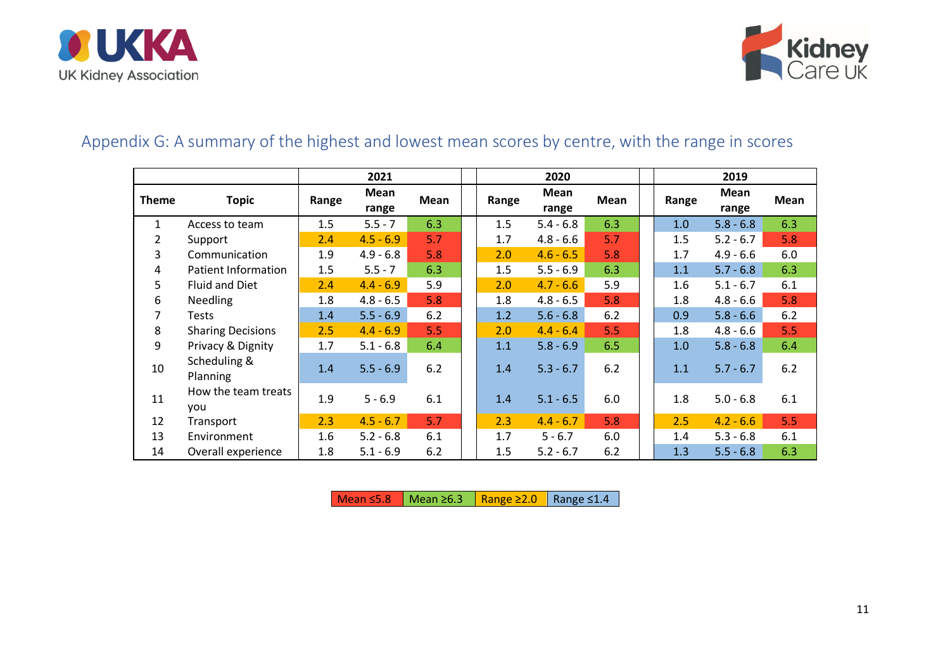



# Appendix G: A summary of the highest and lowest mean scores by centre, with the range in scores

|                |                            |       | 2021          |      |       | 2020          |       |       | 2019          |      |
|----------------|----------------------------|-------|---------------|------|-------|---------------|-------|-------|---------------|------|
| <b>Theme</b>   | <b>Topic</b>               | Range | Mean<br>range | Mean | Range | Mean<br>range | Mean  | Range | Mean<br>range | Mean |
| $\mathbf{1}$   | Access to team             | 1.5   | $5.5 - 7$     | 6.3  | 1.5   | $5.4 - 6.8$   | 6.3   | 1.0   | $5.8 - 6.8$   | 6.3  |
| $\overline{2}$ | Support                    | 2.4   | $4.5 - 6.9$   | 5.7  | 1.7   | $4.8 - 6.6$   | 5.7   | 1.5   | $5.2 - 6.7$   | 5.8  |
| 3              | Communication              | 1.9   | $4.9 - 6.8$   | 5.8  | 2.0   | $4.6 - 6.5$   | 5.8   | 1.7   | $4.9 - 6.6$   | 6.0  |
| 4              | <b>Patient Information</b> | 1.5   | $5.5 - 7$     | 6.3  | 1.5   | $5.5 - 6.9$   | 6.3   | 1.1   | $5.7 - 6.8$   | 6.3  |
| 5              | <b>Fluid and Diet</b>      | 2.4   | $4.4 - 6.9$   | 5.9  | 2.0   | $4.7 - 6.6$   | 5.9   | 1.6   | $5.1 - 6.7$   | 6.1  |
| 6              | <b>Needling</b>            | 1.8   | $4.8 - 6.5$   | 5.8  | 1.8   | $4.8 - 6.5$   | 5.8   | 1.8   | $4.8 - 6.6$   | 5.8  |
| 7              | Tests                      | 1.4   | $5.5 - 6.9$   | 6.2  | 1.2   | $5.6 - 6.8$   | 6.2   | 0.9   | $5.8 - 6.6$   | 6.2  |
| 8              | <b>Sharing Decisions</b>   | 2.5   | $4.4 - 6.9$   | 5.5  | 2.0   | $4.4 - 6.4$   | 5.5   | 1.8   | $4.8 - 6.6$   | 5.5  |
| 9              | Privacy & Dignity          | 1.7   | $5.1 - 6.8$   | 6.4  | 1.1   | $5.8 - 6.9$   | 6.5   | 1.0   | $5.8 - 6.8$   | 6.4  |
| 10             | Scheduling &<br>Planning   | 1.4   | $5.5 - 6.9$   | 6.2  | 1.4   | $5.3 - 6.7$   | $6.2$ | 1.1   | $5.7 - 6.7$   | 6.2  |
| 11             | How the team treats<br>you | 1.9   | $5 - 6.9$     | 6.1  | 1.4   | $5.1 - 6.5$   | 6.0   | 1.8   | $5.0 - 6.8$   | 6.1  |
| 12             | Transport                  | 2.3   | $4.5 - 6.7$   | 5.7  | 2.3   | $4.4 - 6.7$   | 5.8   | 2.5   | $4.2 - 6.6$   | 5.5  |
| 13             | Environment                | 1.6   | $5.2 - 6.8$   | 6.1  | 1.7   | $5 - 6.7$     | 6.0   | 1.4   | $5.3 - 6.8$   | 6.1  |
| 14             | Overall experience         | 1.8   | $5.1 - 6.9$   | 6.2  | 1.5   | $5.2 - 6.7$   | 6.2   | 1.3   | $5.5 - 6.8$   | 6.3  |

<span id="page-10-0"></span>Mean  $\leq$ 5.8 Mean ≥6.3 Range ≥2.0 Range  $\leq$ 1.4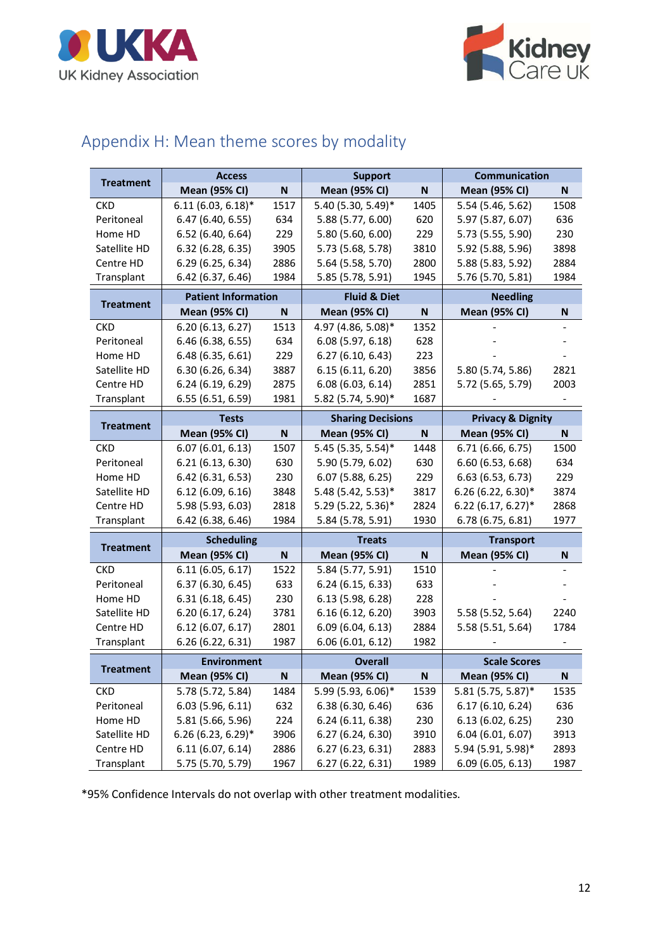



# <span id="page-11-0"></span>Appendix H: Mean theme scores by modality

| <b>Treatment</b> | <b>Access</b>              |           | <b>Support</b>           |           | <b>Communication</b>         |      |
|------------------|----------------------------|-----------|--------------------------|-----------|------------------------------|------|
|                  | <b>Mean (95% CI)</b>       | N         | <b>Mean (95% CI)</b>     | ${\sf N}$ | <b>Mean (95% CI)</b>         | N    |
| <b>CKD</b>       | $6.11(6.03, 6.18)^*$       | 1517      | 5.40 (5.30, 5.49)*       | 1405      | 5.54 (5.46, 5.62)            | 1508 |
| Peritoneal       | 6.47 (6.40, 6.55)          | 634       | 5.88 (5.77, 6.00)        | 620       | 5.97 (5.87, 6.07)            | 636  |
| Home HD          | 6.52 (6.40, 6.64)          | 229       | 5.80 (5.60, 6.00)        | 229       | 5.73 (5.55, 5.90)            | 230  |
| Satellite HD     | 6.32 (6.28, 6.35)          | 3905      | 5.73 (5.68, 5.78)        | 3810      | 5.92 (5.88, 5.96)            | 3898 |
| Centre HD        | 6.29 (6.25, 6.34)          | 2886      | 5.64 (5.58, 5.70)        | 2800      | 5.88 (5.83, 5.92)            | 2884 |
| Transplant       | 6.42(6.37, 6.46)           | 1984      | 5.85 (5.78, 5.91)        | 1945      | 5.76 (5.70, 5.81)            | 1984 |
|                  | <b>Patient Information</b> |           | <b>Fluid &amp; Diet</b>  |           | <b>Needling</b>              |      |
| <b>Treatment</b> | <b>Mean (95% CI)</b>       | N         | <b>Mean (95% CI)</b>     | N         | <b>Mean (95% CI)</b>         | N    |
| <b>CKD</b>       | 6.20(6.13, 6.27)           | 1513      | 4.97 (4.86, 5.08)*       | 1352      |                              |      |
| Peritoneal       | 6.46 (6.38, 6.55)          | 634       | 6.08(5.97, 6.18)         | 628       |                              |      |
| Home HD          | 6.48(6.35, 6.61)           | 229       | 6.27(6.10, 6.43)         | 223       |                              |      |
| Satellite HD     | 6.30 (6.26, 6.34)          | 3887      | 6.15(6.11, 6.20)         | 3856      | 5.80 (5.74, 5.86)            | 2821 |
| Centre HD        | 6.24 (6.19, 6.29)          | 2875      | 6.08(6.03, 6.14)         | 2851      | 5.72 (5.65, 5.79)            | 2003 |
| Transplant       | 6.55 (6.51, 6.59)          | 1981      | 5.82 (5.74, 5.90)*       | 1687      |                              |      |
|                  | <b>Tests</b>               |           | <b>Sharing Decisions</b> |           | <b>Privacy &amp; Dignity</b> |      |
| <b>Treatment</b> | <b>Mean (95% CI)</b>       | N         | <b>Mean (95% CI)</b>     | N         | <b>Mean (95% CI)</b>         | N    |
| <b>CKD</b>       | 6.07(6.01, 6.13)           | 1507      | 5.45 (5.35, 5.54)*       | 1448      | 6.71 (6.66, 6.75)            | 1500 |
| Peritoneal       | 6.21(6.13, 6.30)           | 630       | 5.90 (5.79, 6.02)        | 630       | 6.60(6.53, 6.68)             | 634  |
| Home HD          | 6.42 (6.31, 6.53)          | 230       | 6.07(5.88, 6.25)         | 229       | 6.63 (6.53, 6.73)            | 229  |
| Satellite HD     | 6.12(6.09, 6.16)           | 3848      | 5.48 (5.42, 5.53)*       | 3817      | 6.26 (6.22, 6.30)*           | 3874 |
| Centre HD        | 5.98 (5.93, 6.03)          | 2818      | 5.29 (5.22, 5.36)*       | 2824      | $6.22(6.17, 6.27)$ *         | 2868 |
| Transplant       | 6.42 (6.38, 6.46)          | 1984      | 5.84 (5.78, 5.91)        | 1930      | 6.78 (6.75, 6.81)            | 1977 |
|                  | <b>Scheduling</b>          |           | <b>Treats</b>            |           | <b>Transport</b>             |      |
| <b>Treatment</b> | <b>Mean (95% CI)</b>       | ${\sf N}$ | <b>Mean (95% CI)</b>     | ${\sf N}$ | <b>Mean (95% CI)</b>         | N    |
| <b>CKD</b>       | 6.11(6.05, 6.17)           | 1522      | 5.84 (5.77, 5.91)        | 1510      |                              |      |
| Peritoneal       | 6.37(6.30, 6.45)           | 633       | 6.24(6.15, 6.33)         | 633       |                              |      |
| Home HD          | 6.31(6.18, 6.45)           | 230       | 6.13 (5.98, 6.28)        | 228       |                              |      |
| Satellite HD     | 6.20(6.17, 6.24)           | 3781      | 6.16(6.12, 6.20)         | 3903      | 5.58 (5.52, 5.64)            | 2240 |
| Centre HD        | 6.12(6.07, 6.17)           | 2801      | 6.09(6.04, 6.13)         | 2884      | 5.58 (5.51, 5.64)            | 1784 |
| Transplant       | 6.26 (6.22, 6.31)          | 1987      | 6.06 (6.01, 6.12)        | 1982      |                              |      |
|                  | Environment                |           | <b>Overall</b>           |           | <b>Scale Scores</b>          |      |
| <b>Treatment</b> | <b>Mean (95% CI)</b>       | N         | <b>Mean (95% CI)</b>     | N         | <b>Mean (95% CI)</b>         | N    |
| <b>CKD</b>       | 5.78 (5.72, 5.84)          | 1484      | 5.99 (5.93, 6.06)*       | 1539      | 5.81 (5.75, 5.87)*           | 1535 |
| Peritoneal       | 6.03(5.96, 6.11)           | 632       | 6.38(6.30, 6.46)         | 636       | 6.17(6.10, 6.24)             | 636  |
| Home HD          | 5.81 (5.66, 5.96)          | 224       | 6.24(6.11, 6.38)         | 230       | 6.13(6.02, 6.25)             | 230  |
| Satellite HD     | $6.26(6.23, 6.29)$ *       | 3906      | 6.27(6.24, 6.30)         | 3910      | 6.04(6.01, 6.07)             | 3913 |
| Centre HD        | 6.11(6.07, 6.14)           | 2886      | 6.27(6.23, 6.31)         | 2883      | 5.94 (5.91, 5.98)*           | 2893 |
| Transplant       | 5.75 (5.70, 5.79)          | 1967      | 6.27(6.22, 6.31)         | 1989      | 6.09(6.05, 6.13)             | 1987 |

\*95% Confidence Intervals do not overlap with other treatment modalities.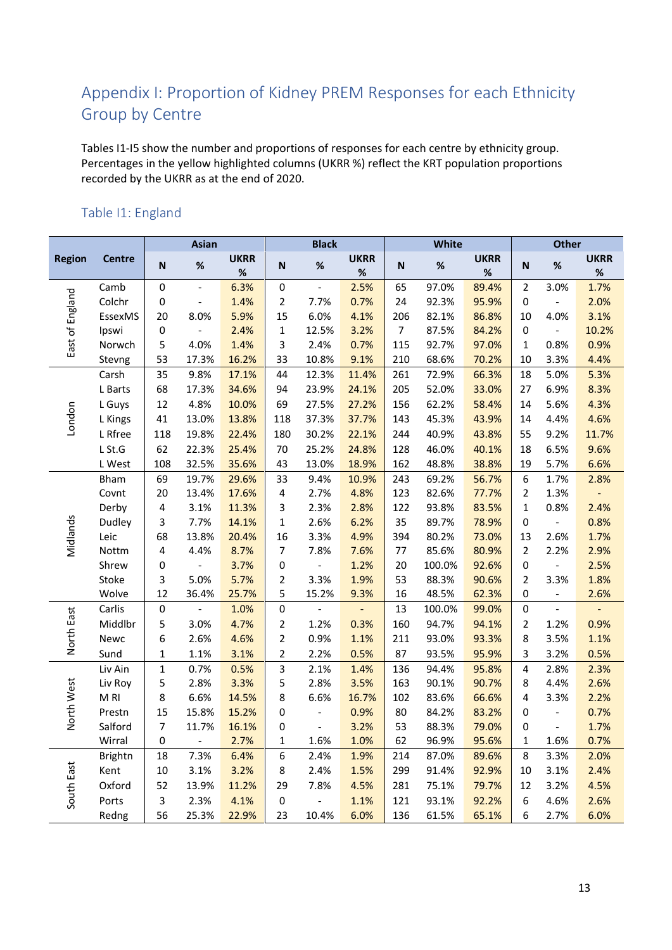# <span id="page-12-0"></span>Appendix I: Proportion of Kidney PREM Responses for each Ethnicity Group by Centre

Tables I1-I5 show the number and proportions of responses for each centre by ethnicity group. Percentages in the yellow highlighted columns (UKRR %) reflect the KRT population proportions recorded by the UKRR as at the end of 2020.

#### <span id="page-12-1"></span>Table I1: England

|                 |                 |                         | <b>Asian</b>   |                  |                           | <b>Black</b>             |                     |      | White  |                     |                         | Other                    |                     |
|-----------------|-----------------|-------------------------|----------------|------------------|---------------------------|--------------------------|---------------------|------|--------|---------------------|-------------------------|--------------------------|---------------------|
| <b>Region</b>   | <b>Centre</b>   | N                       | $\%$           | <b>UKRR</b><br>% | $\boldsymbol{\mathsf{N}}$ | %                        | <b>UKRR</b><br>$\%$ | N    | $\%$   | <b>UKRR</b><br>$\%$ | ${\sf N}$               | $\%$                     | <b>UKRR</b><br>$\%$ |
|                 | Camb            | $\pmb{0}$               | $\Box$         | 6.3%             | $\pmb{0}$                 | $\Box$                   | 2.5%                | 65   | 97.0%  | 89.4%               | $\overline{2}$          | 3.0%                     | 1.7%                |
| East of England | Colchr          | $\mathbf 0$             | $\blacksquare$ | 1.4%             | $\overline{2}$            | 7.7%                     | 0.7%                | 24   | 92.3%  | 95.9%               | $\pmb{0}$               | $\blacksquare$           | 2.0%                |
|                 | EssexMS         | 20                      | 8.0%           | 5.9%             | 15                        | 6.0%                     | 4.1%                | 206  | 82.1%  | 86.8%               | 10                      | 4.0%                     | 3.1%                |
|                 | Ipswi           | 0                       |                | 2.4%             | $\mathbf{1}$              | 12.5%                    | 3.2%                | 7    | 87.5%  | 84.2%               | $\pmb{0}$               |                          | 10.2%               |
|                 | Norwch          | 5                       | 4.0%           | 1.4%             | 3                         | 2.4%                     | 0.7%                | 115  | 92.7%  | 97.0%               | $\mathbf{1}$            | 0.8%                     | 0.9%                |
|                 | Stevng          | 53                      | 17.3%          | 16.2%            | 33                        | 10.8%                    | 9.1%                | 210  | 68.6%  | 70.2%               | 10                      | 3.3%                     | 4.4%                |
|                 | Carsh           | 35                      | 9.8%           | 17.1%            | 44                        | 12.3%                    | 11.4%               | 261  | 72.9%  | 66.3%               | 18                      | 5.0%                     | 5.3%                |
|                 | L Barts         | 68                      | 17.3%          | 34.6%            | 94                        | 23.9%                    | 24.1%               | 205  | 52.0%  | 33.0%               | 27                      | 6.9%                     | 8.3%                |
|                 | L Guys          | 12                      | 4.8%           | 10.0%            | 69                        | 27.5%                    | 27.2%               | 156  | 62.2%  | 58.4%               | 14                      | 5.6%                     | 4.3%                |
| London          | L Kings         | 41                      | 13.0%          | 13.8%            | 118                       | 37.3%                    | 37.7%               | 143  | 45.3%  | 43.9%               | 14                      | 4.4%                     | 4.6%                |
|                 | L Rfree         | 118                     | 19.8%          | 22.4%            | 180                       | 30.2%                    | 22.1%               | 244  | 40.9%  | 43.8%               | 55                      | 9.2%                     | 11.7%               |
|                 | L St.G          | 62                      | 22.3%          | 25.4%            | $70\,$                    | 25.2%                    | 24.8%               | 128  | 46.0%  | 40.1%               | 18                      | 6.5%                     | 9.6%                |
|                 | L West          | 108                     | 32.5%          | 35.6%            | 43                        | 13.0%                    | 18.9%               | 162  | 48.8%  | 38.8%               | 19                      | 5.7%                     | 6.6%                |
|                 | Bham            | 69                      | 19.7%          | 29.6%            | 33                        | 9.4%                     | 10.9%               | 243  | 69.2%  | 56.7%               | $\boldsymbol{6}$        | 1.7%                     | 2.8%                |
|                 | Covnt           | 20                      | 13.4%          | 17.6%            | $\overline{\mathbf{4}}$   | 2.7%                     | 4.8%                | 123  | 82.6%  | 77.7%               | $\overline{2}$          | 1.3%                     | $\Box$              |
|                 | Derby           | $\overline{4}$          | 3.1%           | 11.3%            | 3                         | 2.3%                     | 2.8%                | 122  | 93.8%  | 83.5%               | $\mathbf 1$             | 0.8%                     | 2.4%                |
| Midlands        | Dudley          | 3                       | 7.7%           | 14.1%            | $\mathbf 1$               | 2.6%                     | 6.2%                | 35   | 89.7%  | 78.9%               | $\pmb{0}$               | $\Box$                   | 0.8%                |
|                 | Leic            | 68                      | 13.8%          | 20.4%            | 16                        | 3.3%                     | 4.9%                | 394  | 80.2%  | 73.0%               | 13                      | 2.6%                     | 1.7%                |
|                 | Nottm           | $\overline{4}$          | 4.4%           | 8.7%             | $\overline{7}$            | 7.8%                     | 7.6%                | $77$ | 85.6%  | 80.9%               | $\overline{2}$          | 2.2%                     | 2.9%                |
|                 | Shrew           | $\pmb{0}$               | $\equiv$       | 3.7%             | 0                         | $\overline{\phantom{a}}$ | 1.2%                | 20   | 100.0% | 92.6%               | $\pmb{0}$               | $\blacksquare$           | 2.5%                |
|                 | Stoke           | 3                       | 5.0%           | 5.7%             | $\overline{2}$            | 3.3%                     | 1.9%                | 53   | 88.3%  | 90.6%               | $\overline{2}$          | 3.3%                     | 1.8%                |
|                 | Wolve           | 12                      | 36.4%          | 25.7%            | 5                         | 15.2%                    | 9.3%                | 16   | 48.5%  | 62.3%               | 0                       | $\overline{\phantom{a}}$ | 2.6%                |
|                 | Carlis          | $\boldsymbol{0}$        | $\Box$         | 1.0%             | 0                         | $\overline{\phantom{0}}$ | $\equiv$            | 13   | 100.0% | 99.0%               | $\pmb{0}$               | $\blacksquare$           | $\blacksquare$      |
|                 | Middlbr         | 5                       | 3.0%           | 4.7%             | $\overline{2}$            | 1.2%                     | 0.3%                | 160  | 94.7%  | 94.1%               | $\overline{2}$          | 1.2%                     | 0.9%                |
| North East      | Newc            | 6                       | 2.6%           | 4.6%             | $\overline{2}$            | 0.9%                     | 1.1%                | 211  | 93.0%  | 93.3%               | 8                       | 3.5%                     | 1.1%                |
|                 | Sund            | $\mathbf{1}$            | 1.1%           | 3.1%             | $\mathbf{2}$              | 2.2%                     | 0.5%                | 87   | 93.5%  | 95.9%               | 3                       | 3.2%                     | 0.5%                |
|                 | Liv Ain         | $\mathbf{1}$            | 0.7%           | 0.5%             | 3                         | 2.1%                     | 1.4%                | 136  | 94.4%  | 95.8%               | $\pmb{4}$               | 2.8%                     | 2.3%                |
|                 | Liv Roy         | 5                       | 2.8%           | 3.3%             | 5                         | 2.8%                     | 3.5%                | 163  | 90.1%  | 90.7%               | 8                       | 4.4%                     | 2.6%                |
|                 | M <sub>RI</sub> | 8                       | 6.6%           | 14.5%            | 8                         | 6.6%                     | 16.7%               | 102  | 83.6%  | 66.6%               | $\overline{\mathbf{4}}$ | 3.3%                     | 2.2%                |
| North West      | Prestn          | 15                      | 15.8%          | 15.2%            | $\mathbf 0$               | $\Box$                   | 0.9%                | 80   | 84.2%  | 83.2%               | $\pmb{0}$               | $\blacksquare$           | 0.7%                |
|                 | Salford         | $\overline{7}$          | 11.7%          | 16.1%            | $\mathbf 0$               | $\overline{\phantom{a}}$ | 3.2%                | 53   | 88.3%  | 79.0%               | 0                       | $\blacksquare$           | 1.7%                |
|                 | Wirral          | 0                       | $\Box$         | 2.7%             | $\mathbf{1}$              | 1.6%                     | 1.0%                | 62   | 96.9%  | 95.6%               | $\mathbf{1}$            | 1.6%                     | 0.7%                |
|                 | <b>Brightn</b>  | 18                      | 7.3%           | 6.4%             | 6                         | 2.4%                     | 1.9%                | 214  | 87.0%  | 89.6%               | 8                       | 3.3%                     | 2.0%                |
| South East      | Kent            | 10                      | 3.1%           | 3.2%             | 8                         | 2.4%                     | 1.5%                | 299  | 91.4%  | 92.9%               | 10                      | 3.1%                     | 2.4%                |
|                 | Oxford          | 52                      | 13.9%          | 11.2%            | 29                        | 7.8%                     | 4.5%                | 281  | 75.1%  | 79.7%               | 12                      | 3.2%                     | 4.5%                |
|                 | Ports           | $\overline{\mathbf{3}}$ | 2.3%           | 4.1%             | $\mathbf 0$               | $\overline{a}$           | 1.1%                | 121  | 93.1%  | 92.2%               | 6                       | 4.6%                     | 2.6%                |
|                 | Redng           | 56                      | 25.3%          | 22.9%            | 23                        | 10.4%                    | 6.0%                | 136  | 61.5%  | 65.1%               | 6                       | 2.7%                     | 6.0%                |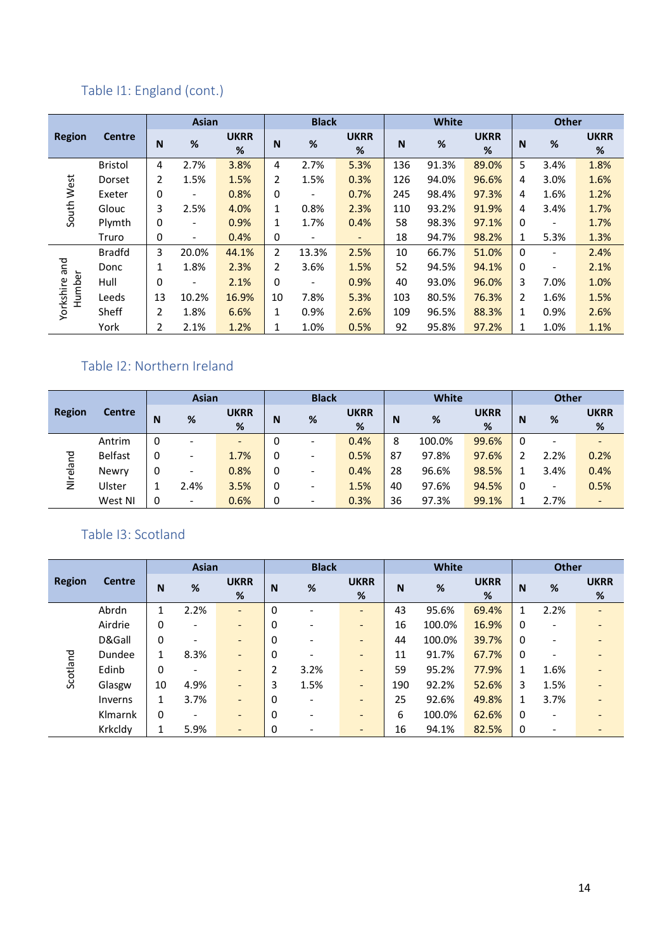# Table I1: England (cont.)

|                         |                |                | <b>Asian</b>                 |                  |              | <b>Black</b>             |                          |     | <b>White</b> |                  |             | <b>Other</b>             |                  |
|-------------------------|----------------|----------------|------------------------------|------------------|--------------|--------------------------|--------------------------|-----|--------------|------------------|-------------|--------------------------|------------------|
| <b>Region</b>           | <b>Centre</b>  | N              | %                            | <b>UKRR</b><br>% | N            | $\%$                     | <b>UKRR</b><br>%         | N   | %            | <b>UKRR</b><br>% | $\mathbf N$ | $\%$                     | <b>UKRR</b><br>% |
|                         | <b>Bristol</b> | 4              | 2.7%                         | 3.8%             | 4            | 2.7%                     | 5.3%                     | 136 | 91.3%        | 89.0%            | 5           | 3.4%                     | 1.8%             |
|                         | Dorset         | $\overline{2}$ | 1.5%                         | 1.5%             | 2            | 1.5%                     | 0.3%                     | 126 | 94.0%        | 96.6%            | 4           | 3.0%                     | 1.6%             |
| South West              | Exeter         | 0              | $\qquad \qquad \blacksquare$ | 0.8%             | 0            | $\overline{\phantom{a}}$ | 0.7%                     | 245 | 98.4%        | 97.3%            | 4           | 1.6%                     | 1.2%             |
|                         | Glouc          | 3              | 2.5%                         | 4.0%             | 1            | 0.8%                     | 2.3%                     | 110 | 93.2%        | 91.9%            | 4           | 3.4%                     | 1.7%             |
|                         | Plymth         | 0              | $\overline{\phantom{0}}$     | 0.9%             | $\mathbf{1}$ | 1.7%                     | 0.4%                     | 58  | 98.3%        | 97.1%            | 0           |                          | 1.7%             |
|                         | Truro          | 0              | $\overline{\phantom{a}}$     | 0.4%             | 0            | $\overline{\phantom{a}}$ | $\overline{\phantom{a}}$ | 18  | 94.7%        | 98.2%            | 1           | 5.3%                     | 1.3%             |
|                         | <b>Bradfd</b>  | 3              | 20.0%                        | 44.1%            | 2            | 13.3%                    | 2.5%                     | 10  | 66.7%        | 51.0%            | 0           |                          | 2.4%             |
|                         | Donc           | 1              | 1.8%                         | 2.3%             | 2            | 3.6%                     | 1.5%                     | 52  | 94.5%        | 94.1%            | $\Omega$    | $\overline{\phantom{a}}$ | 2.1%             |
|                         | Hull           | 0              | $\overline{\phantom{a}}$     | 2.1%             | 0            | $\overline{\phantom{a}}$ | 0.9%                     | 40  | 93.0%        | 96.0%            | 3           | 7.0%                     | 1.0%             |
| Yorkshire and<br>Humber | Leeds          | 13             | 10.2%                        | 16.9%            | 10           | 7.8%                     | 5.3%                     | 103 | 80.5%        | 76.3%            | 2           | 1.6%                     | 1.5%             |
|                         | Sheff          | $\overline{2}$ | 1.8%                         | 6.6%             | 1            | 0.9%                     | 2.6%                     | 109 | 96.5%        | 88.3%            | 1           | 0.9%                     | 2.6%             |
|                         | York           | $\overline{2}$ | 2.1%                         | 1.2%             | 1            | 1.0%                     | 0.5%                     | 92  | 95.8%        | 97.2%            | 1           | 1.0%                     | 1.1%             |

#### <span id="page-13-0"></span>Table I2: Northern Ireland

|               |                |   | <b>Asian</b>             |                          |          | <b>Black</b>             |                  |    | <b>White</b> |                  |   | <b>Other</b>             |                   |
|---------------|----------------|---|--------------------------|--------------------------|----------|--------------------------|------------------|----|--------------|------------------|---|--------------------------|-------------------|
| <b>Region</b> | <b>Centre</b>  | N | %                        | <b>UKRR</b><br>%         | <b>N</b> | %                        | <b>UKRR</b><br>% | N  | %            | <b>UKRR</b><br>% | N | %                        | <b>UKRR</b><br>%  |
|               | Antrim         | 0 |                          | $\overline{\phantom{0}}$ | 0        | ۰                        | 0.4%             | 8  | 100.0%       | 99.6%            | 0 | ۰                        | $\qquad \qquad -$ |
|               | <b>Belfast</b> | 0 | $\overline{\phantom{a}}$ | 1.7%                     | 0        | $\overline{\phantom{a}}$ | 0.5%             | 87 | 97.8%        | 97.6%            | 2 | 2.2%                     | 0.2%              |
| reland        | Newry          | 0 | $\overline{\phantom{a}}$ | 0.8%                     | 0        | $\overline{\phantom{a}}$ | 0.4%             | 28 | 96.6%        | 98.5%            |   | 3.4%                     | 0.4%              |
| Ξ             | Ulster         | 1 | 2.4%                     | 3.5%                     | 0        | $\overline{\phantom{a}}$ | 1.5%             | 40 | 97.6%        | 94.5%            | 0 | $\overline{\phantom{a}}$ | 0.5%              |
|               | West NI        | 0 | $\overline{\phantom{a}}$ | 0.6%                     | 0        | $\overline{\phantom{a}}$ | 0.3%             | 36 | 97.3%        | 99.1%            |   | 2.7%                     | $\qquad \qquad -$ |

### <span id="page-13-1"></span>Table I3: Scotland

|               |               |              | <b>Asian</b> |                              |          | <b>Black</b>                 |                              |     | <b>White</b> |                  |   | <b>Other</b>             |                              |
|---------------|---------------|--------------|--------------|------------------------------|----------|------------------------------|------------------------------|-----|--------------|------------------|---|--------------------------|------------------------------|
| <b>Region</b> | <b>Centre</b> | N            | %            | <b>UKRR</b><br>%             | N        | $\%$                         | <b>UKRR</b><br>%             | N   | %            | <b>UKRR</b><br>% | N | %                        | <b>UKRR</b><br>%             |
|               | Abrdn         | $\mathbf{1}$ | 2.2%         | $\overline{\phantom{0}}$     | $\Omega$ | ۰                            | $\overline{\phantom{a}}$     | 43  | 95.6%        | 69.4%            | 1 | 2.2%                     | $\overline{\phantom{0}}$     |
|               | Airdrie       | 0            |              | $\overline{\phantom{0}}$     | 0        |                              | $\overline{\phantom{a}}$     | 16  | 100.0%       | 16.9%            | 0 | ٠                        | $\overline{\phantom{0}}$     |
|               | D&Gall        | $\Omega$     |              | -                            | 0        | $\qquad \qquad \blacksquare$ | $\qquad \qquad \blacksquare$ | 44  | 100.0%       | 39.7%            | 0 | ٠                        |                              |
|               | Dundee        | $\mathbf{1}$ | 8.3%         | $\qquad \qquad \blacksquare$ | 0        | $\qquad \qquad \blacksquare$ | $\qquad \qquad \blacksquare$ | 11  | 91.7%        | 67.7%            | 0 | ٠                        |                              |
| Scotland      | Edinb         | $\Omega$     |              | $\qquad \qquad \blacksquare$ | 2        | 3.2%                         | $\qquad \qquad \blacksquare$ | 59  | 95.2%        | 77.9%            | 1 | 1.6%                     | $\qquad \qquad \blacksquare$ |
|               | Glasgw        | 10           | 4.9%         | $\overline{\phantom{0}}$     | 3        | 1.5%                         | $\overline{\phantom{a}}$     | 190 | 92.2%        | 52.6%            | 3 | 1.5%                     | $\overline{\phantom{0}}$     |
|               | Inverns       | 1            | 3.7%         | $\overline{\phantom{0}}$     | 0        | $\qquad \qquad \blacksquare$ | $\overline{\phantom{a}}$     | 25  | 92.6%        | 49.8%            | 1 | 3.7%                     | -                            |
|               | Klmarnk       | 0            |              | $\overline{\phantom{0}}$     | $\Omega$ | $\qquad \qquad \blacksquare$ | $\qquad \qquad \blacksquare$ | 6   | 100.0%       | 62.6%            | 0 | $\overline{\phantom{a}}$ |                              |
|               | Krkcldy       | 1            | 5.9%         | $\overline{\phantom{0}}$     | 0        |                              | $\overline{\phantom{a}}$     | 16  | 94.1%        | 82.5%            | 0 | ۰                        |                              |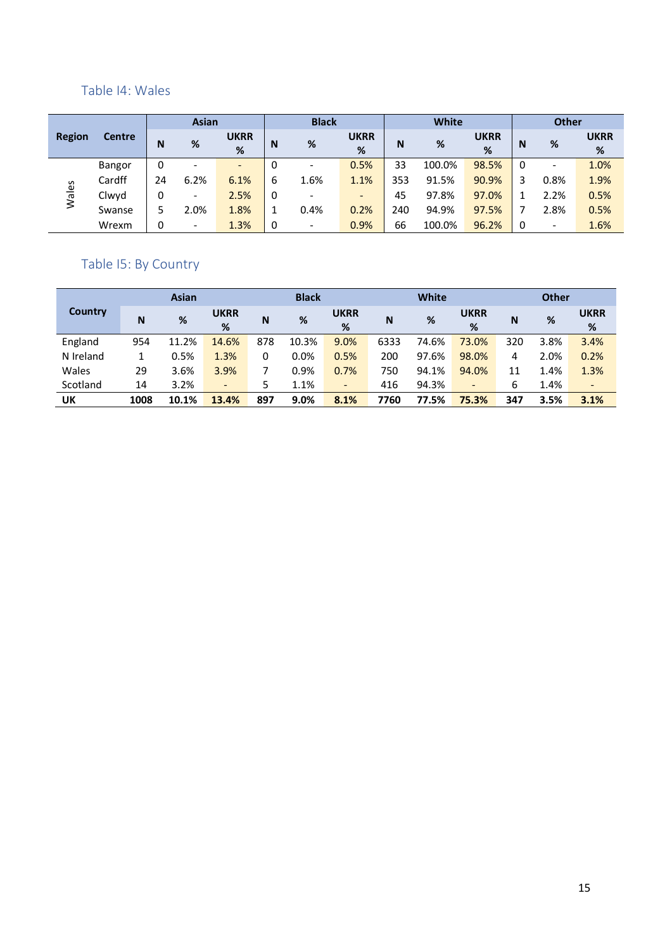#### <span id="page-14-0"></span>Table I4: Wales

|               |               |    | <b>Asian</b>             |                          |   | <b>Black</b>             |                  |     | <b>White</b> |                  |   | <b>Other</b>             |                     |
|---------------|---------------|----|--------------------------|--------------------------|---|--------------------------|------------------|-----|--------------|------------------|---|--------------------------|---------------------|
| <b>Region</b> | <b>Centre</b> | N  | %                        | <b>UKRR</b><br>%         | N | %                        | <b>UKRR</b><br>% | N   | %            | <b>UKRR</b><br>% | N | %                        | <b>UKRR</b><br>$\%$ |
|               | Bangor        | 0  | $\overline{\phantom{a}}$ | $\overline{\phantom{a}}$ | 0 | $\overline{\phantom{a}}$ | 0.5%             | 33  | 100.0%       | 98.5%            | 0 | $\overline{\phantom{0}}$ | 1.0%                |
|               | Cardff        | 24 | 6.2%                     | 6.1%                     | 6 | 1.6%                     | 1.1%             | 353 | 91.5%        | 90.9%            | 3 | 0.8%                     | 1.9%                |
| Wales         | Clwyd         | 0  | $\overline{\phantom{a}}$ | 2.5%                     | 0 | $\overline{\phantom{a}}$ | -                | 45  | 97.8%        | 97.0%            |   | 2.2%                     | 0.5%                |
|               | Swanse        |    | 2.0%                     | 1.8%                     |   | 0.4%                     | 0.2%             | 240 | 94.9%        | 97.5%            |   | 2.8%                     | 0.5%                |
|               | Wrexm         | 0  | $\overline{\phantom{a}}$ | 1.3%                     | 0 | $\overline{\phantom{a}}$ | 0.9%             | 66  | 100.0%       | 96.2%            | 0 |                          | 1.6%                |

#### <span id="page-14-1"></span>Table I5: By Country

|           |      | <b>Asian</b> |                          |     | <b>Black</b> |                          |      | <b>White</b> |                          |     | <b>Other</b> |                          |
|-----------|------|--------------|--------------------------|-----|--------------|--------------------------|------|--------------|--------------------------|-----|--------------|--------------------------|
| Country   | N    | %            | <b>UKRR</b><br>%         | N   | %            | <b>UKRR</b><br>%         | N    | %            | <b>UKRR</b><br>%         | N   | %            | <b>UKRR</b><br>$\%$      |
| England   | 954  | 11.2%        | 14.6%                    | 878 | 10.3%        | 9.0%                     | 6333 | 74.6%        | 73.0%                    | 320 | 3.8%         | 3.4%                     |
| N Ireland |      | 0.5%         | 1.3%                     | 0   | 0.0%         | 0.5%                     | 200  | 97.6%        | 98.0%                    | 4   | 2.0%         | 0.2%                     |
| Wales     | 29   | 3.6%         | 3.9%                     |     | 0.9%         | 0.7%                     | 750  | 94.1%        | 94.0%                    | 11  | 1.4%         | 1.3%                     |
| Scotland  | 14   | 3.2%         | $\overline{\phantom{a}}$ | 5   | 1.1%         | $\overline{\phantom{a}}$ | 416  | 94.3%        | $\overline{\phantom{0}}$ | 6   | 1.4%         | $\overline{\phantom{a}}$ |
| UK        | 1008 | 10.1%        | 13.4%                    | 897 | 9.0%         | 8.1%                     | 7760 | 77.5%        | 75.3%                    | 347 | 3.5%         | 3.1%                     |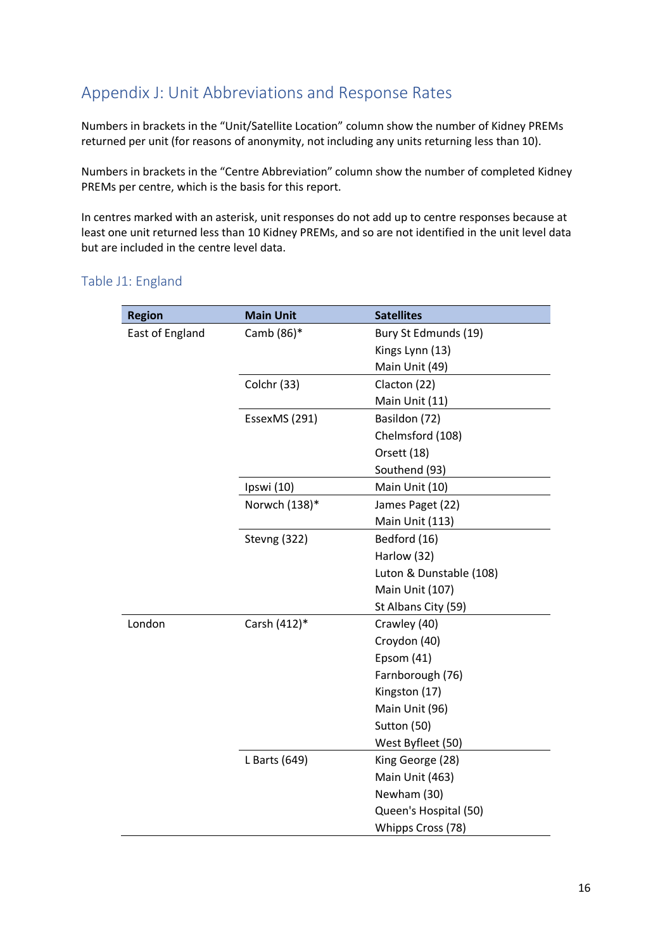## <span id="page-15-0"></span>Appendix J: Unit Abbreviations and Response Rates

Numbers in brackets in the "Unit/Satellite Location" column show the number of Kidney PREMs returned per unit (for reasons of anonymity, not including any units returning less than 10).

Numbers in brackets in the "Centre Abbreviation" column show the number of completed Kidney PREMs per centre, which is the basis for this report.

In centres marked with an asterisk, unit responses do not add up to centre responses because at least one unit returned less than 10 Kidney PREMs, and so are not identified in the unit level data but are included in the centre level data.

#### <span id="page-15-1"></span>Table J1: England

| <b>Region</b>   | <b>Main Unit</b> | <b>Satellites</b>       |
|-----------------|------------------|-------------------------|
| East of England | Camb (86)*       | Bury St Edmunds (19)    |
|                 |                  | Kings Lynn (13)         |
|                 |                  | Main Unit (49)          |
|                 | Colchr (33)      | Clacton (22)            |
|                 |                  | Main Unit (11)          |
|                 | EssexMS (291)    | Basildon (72)           |
|                 |                  | Chelmsford (108)        |
|                 |                  | Orsett (18)             |
|                 |                  | Southend (93)           |
|                 | Ipswi (10)       | Main Unit (10)          |
|                 | Norwch (138)*    | James Paget (22)        |
|                 |                  | Main Unit (113)         |
|                 | Stevng (322)     | Bedford (16)            |
|                 |                  | Harlow (32)             |
|                 |                  | Luton & Dunstable (108) |
|                 |                  | Main Unit (107)         |
|                 |                  | St Albans City (59)     |
| London          | Carsh (412)*     | Crawley (40)            |
|                 |                  | Croydon (40)            |
|                 |                  | Epsom (41)              |
|                 |                  | Farnborough (76)        |
|                 |                  | Kingston (17)           |
|                 |                  | Main Unit (96)          |
|                 |                  | Sutton (50)             |
|                 |                  | West Byfleet (50)       |
|                 | L Barts (649)    | King George (28)        |
|                 |                  | Main Unit (463)         |
|                 |                  | Newham (30)             |
|                 |                  | Queen's Hospital (50)   |
|                 |                  | Whipps Cross (78)       |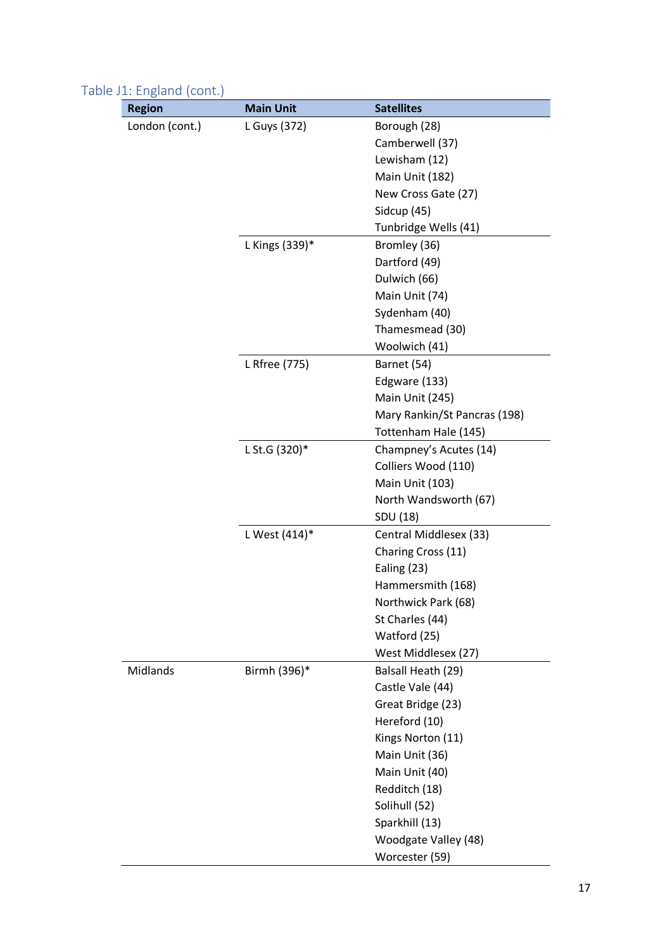| <b>Region</b>   | <b>Main Unit</b> | <b>Satellites</b>            |
|-----------------|------------------|------------------------------|
| London (cont.)  | L Guys (372)     | Borough (28)                 |
|                 |                  | Camberwell (37)              |
|                 |                  | Lewisham (12)                |
|                 |                  | Main Unit (182)              |
|                 |                  | New Cross Gate (27)          |
|                 |                  | Sidcup (45)                  |
|                 |                  | Tunbridge Wells (41)         |
|                 | L Kings (339)*   | Bromley (36)                 |
|                 |                  | Dartford (49)                |
|                 |                  | Dulwich (66)                 |
|                 |                  | Main Unit (74)               |
|                 |                  | Sydenham (40)                |
|                 |                  | Thamesmead (30)              |
|                 |                  | Woolwich (41)                |
|                 | L Rfree (775)    | Barnet (54)                  |
|                 |                  | Edgware (133)                |
|                 |                  | Main Unit (245)              |
|                 |                  | Mary Rankin/St Pancras (198) |
|                 |                  | Tottenham Hale (145)         |
|                 | L St.G (320)*    | Champney's Acutes (14)       |
|                 |                  | Colliers Wood (110)          |
|                 |                  | Main Unit (103)              |
|                 |                  | North Wandsworth (67)        |
|                 |                  | SDU (18)                     |
|                 | L West (414)*    | Central Middlesex (33)       |
|                 |                  | Charing Cross (11)           |
|                 |                  | Ealing (23)                  |
|                 |                  | Hammersmith (168)            |
|                 |                  | Northwick Park (68)          |
|                 |                  | St Charles (44)              |
|                 |                  | Watford (25)                 |
|                 |                  | West Middlesex (27)          |
| <b>Midlands</b> | Birmh (396)*     | Balsall Heath (29)           |
|                 |                  | Castle Vale (44)             |
|                 |                  | Great Bridge (23)            |
|                 |                  | Hereford (10)                |
|                 |                  | Kings Norton (11)            |
|                 |                  | Main Unit (36)               |
|                 |                  | Main Unit (40)               |
|                 |                  | Redditch (18)                |
|                 |                  | Solihull (52)                |
|                 |                  | Sparkhill (13)               |
|                 |                  | Woodgate Valley (48)         |
|                 |                  | Worcester (59)               |

### Table J1: England (cont.)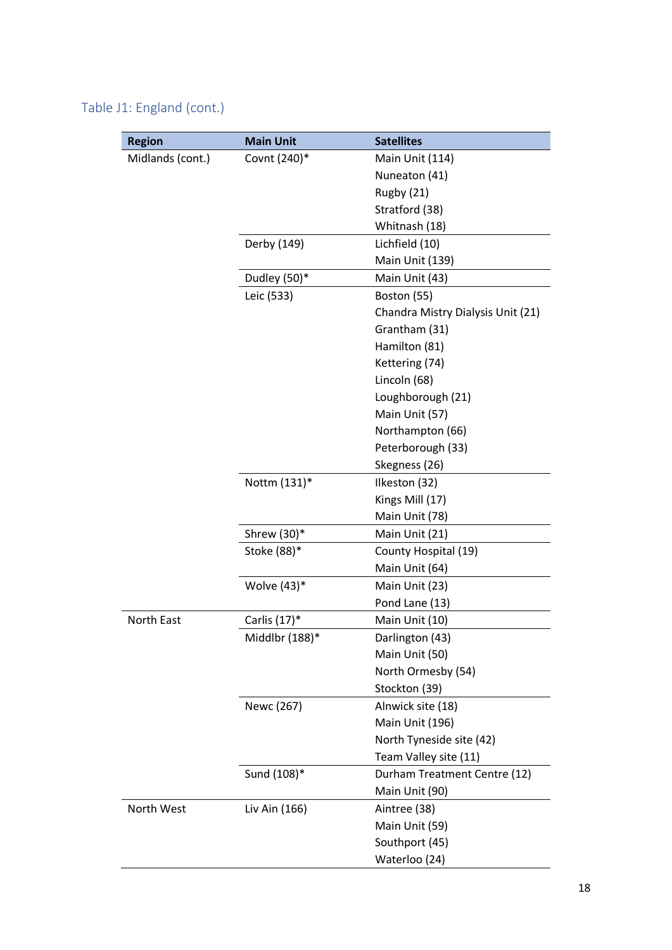### Table J1: England (cont.)

| <b>Region</b>    | <b>Main Unit</b> | <b>Satellites</b>                 |
|------------------|------------------|-----------------------------------|
| Midlands (cont.) | Covnt (240)*     | Main Unit (114)                   |
|                  |                  | Nuneaton (41)                     |
|                  |                  | Rugby (21)                        |
|                  |                  | Stratford (38)                    |
|                  |                  | Whitnash (18)                     |
|                  | Derby (149)      | Lichfield (10)                    |
|                  |                  | Main Unit (139)                   |
|                  | Dudley (50)*     | Main Unit (43)                    |
|                  | Leic (533)       | Boston (55)                       |
|                  |                  | Chandra Mistry Dialysis Unit (21) |
|                  |                  | Grantham (31)                     |
|                  |                  | Hamilton (81)                     |
|                  |                  | Kettering (74)                    |
|                  |                  | Lincoln (68)                      |
|                  |                  | Loughborough (21)                 |
|                  |                  | Main Unit (57)                    |
|                  |                  | Northampton (66)                  |
|                  |                  | Peterborough (33)                 |
|                  |                  | Skegness (26)                     |
|                  | Nottm (131)*     | Ilkeston (32)                     |
|                  |                  | Kings Mill (17)                   |
|                  |                  | Main Unit (78)                    |
|                  | Shrew (30)*      | Main Unit (21)                    |
|                  | Stoke (88)*      | County Hospital (19)              |
|                  |                  | Main Unit (64)                    |
|                  | Wolve $(43)^*$   | Main Unit (23)                    |
|                  |                  | Pond Lane (13)                    |
| North East       | Carlis (17)*     | Main Unit (10)                    |
|                  | Middlbr (188)*   | Darlington (43)                   |
|                  |                  | Main Unit (50)                    |
|                  |                  | North Ormesby (54)                |
|                  |                  | Stockton (39)                     |
|                  | Newc (267)       | Alnwick site (18)                 |
|                  |                  | Main Unit (196)                   |
|                  |                  | North Tyneside site (42)          |
|                  |                  | Team Valley site (11)             |
|                  | Sund (108)*      | Durham Treatment Centre (12)      |
|                  |                  | Main Unit (90)                    |
| North West       | Liv Ain (166)    | Aintree (38)                      |
|                  |                  | Main Unit (59)                    |
|                  |                  | Southport (45)                    |
|                  |                  | Waterloo (24)                     |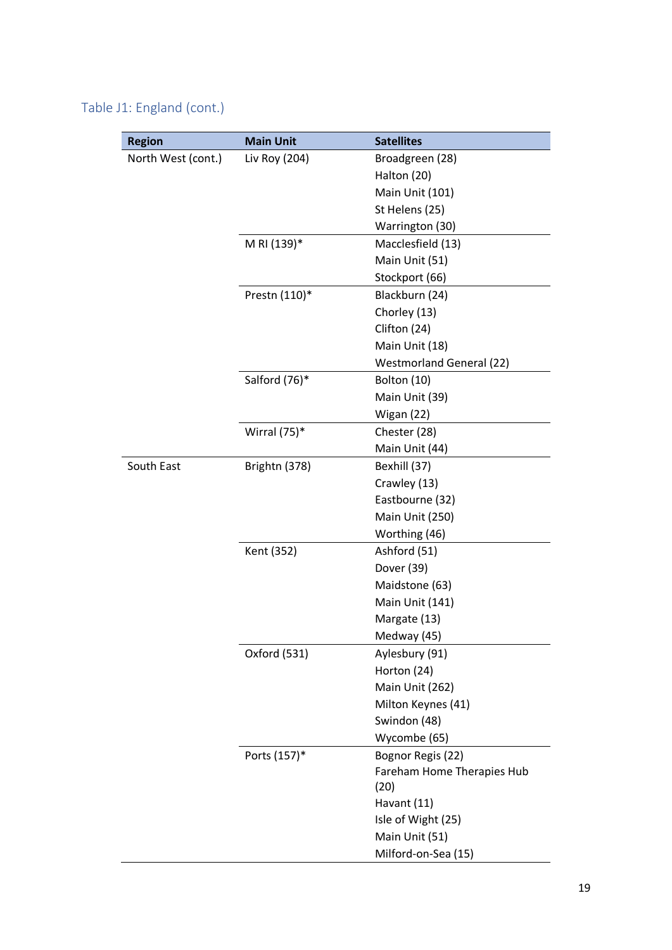### Table J1: England (cont.)

| <b>Region</b>      | <b>Main Unit</b> | <b>Satellites</b>               |
|--------------------|------------------|---------------------------------|
| North West (cont.) | Liv Roy (204)    | Broadgreen (28)                 |
|                    |                  | Halton (20)                     |
|                    |                  | Main Unit (101)                 |
|                    |                  | St Helens (25)                  |
|                    |                  | Warrington (30)                 |
|                    | M RI (139)*      | Macclesfield (13)               |
|                    |                  | Main Unit (51)                  |
|                    |                  | Stockport (66)                  |
|                    | Prestn (110)*    | Blackburn (24)                  |
|                    |                  | Chorley (13)                    |
|                    |                  | Clifton (24)                    |
|                    |                  | Main Unit (18)                  |
|                    |                  | <b>Westmorland General (22)</b> |
|                    | Salford (76)*    | Bolton (10)                     |
|                    |                  | Main Unit (39)                  |
|                    |                  | Wigan (22)                      |
|                    | Wirral (75)*     | Chester (28)                    |
|                    |                  | Main Unit (44)                  |
| South East         | Brightn (378)    | Bexhill (37)                    |
|                    |                  | Crawley (13)                    |
|                    |                  | Eastbourne (32)                 |
|                    |                  | Main Unit (250)                 |
|                    |                  | Worthing (46)                   |
|                    | Kent (352)       | Ashford (51)                    |
|                    |                  | Dover (39)                      |
|                    |                  | Maidstone (63)                  |
|                    |                  | Main Unit (141)                 |
|                    |                  | Margate (13)                    |
|                    |                  | Medway (45)                     |
|                    | Oxford (531)     | Aylesbury (91)                  |
|                    |                  | Horton (24)                     |
|                    |                  | Main Unit (262)                 |
|                    |                  | Milton Keynes (41)              |
|                    |                  | Swindon (48)                    |
|                    |                  | Wycombe (65)                    |
|                    | Ports (157)*     | Bognor Regis (22)               |
|                    |                  | Fareham Home Therapies Hub      |
|                    |                  | (20)                            |
|                    |                  | Havant (11)                     |
|                    |                  | Isle of Wight (25)              |
|                    |                  | Main Unit (51)                  |
|                    |                  | Milford-on-Sea (15)             |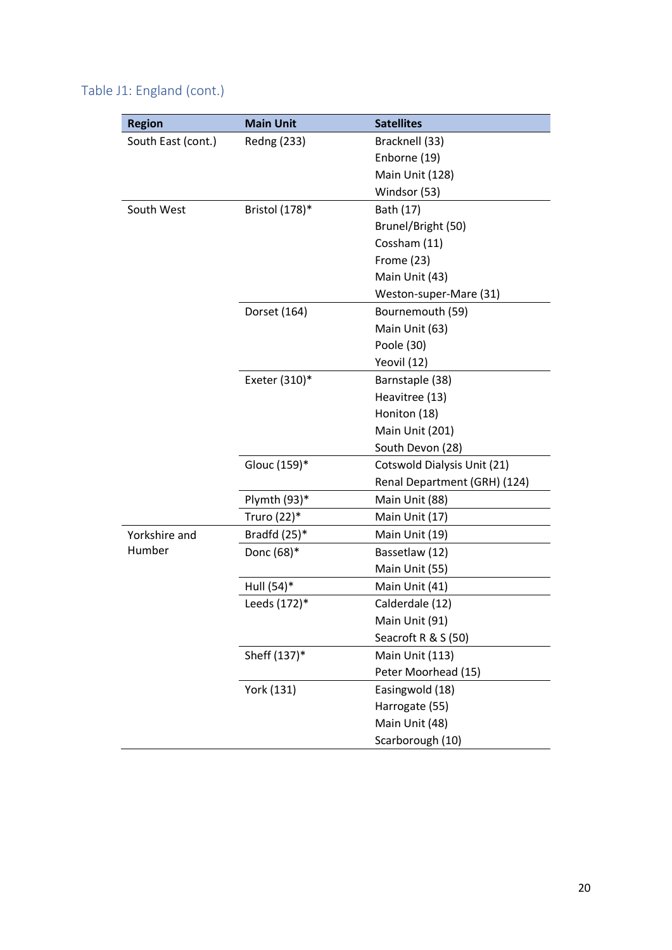| Table J1: England (cont.) |  |  |
|---------------------------|--|--|
|---------------------------|--|--|

| <b>Region</b>      | <b>Main Unit</b> | <b>Satellites</b>            |
|--------------------|------------------|------------------------------|
| South East (cont.) | Redng (233)      | Bracknell (33)               |
|                    |                  | Enborne (19)                 |
|                    |                  | Main Unit (128)              |
|                    |                  | Windsor (53)                 |
| South West         | Bristol (178)*   | Bath (17)                    |
|                    |                  | Brunel/Bright (50)           |
|                    |                  | Cossham (11)                 |
|                    |                  | Frome (23)                   |
|                    |                  | Main Unit (43)               |
|                    |                  | Weston-super-Mare (31)       |
|                    | Dorset (164)     | Bournemouth (59)             |
|                    |                  | Main Unit (63)               |
|                    |                  | Poole (30)                   |
|                    |                  | Yeovil (12)                  |
|                    | Exeter (310)*    | Barnstaple (38)              |
|                    |                  | Heavitree (13)               |
|                    |                  | Honiton (18)                 |
|                    |                  | Main Unit (201)              |
|                    |                  | South Devon (28)             |
|                    | Glouc (159)*     | Cotswold Dialysis Unit (21)  |
|                    |                  | Renal Department (GRH) (124) |
|                    | Plymth (93)*     | Main Unit (88)               |
|                    | Truro (22)*      | Main Unit (17)               |
| Yorkshire and      | Bradfd $(25)^*$  | Main Unit (19)               |
| Humber             | Donc (68)*       | Bassetlaw (12)               |
|                    |                  | Main Unit (55)               |
|                    | Hull (54)*       | Main Unit (41)               |
|                    | Leeds (172)*     | Calderdale (12)              |
|                    |                  | Main Unit (91)               |
|                    |                  | Seacroft R & S (50)          |
|                    | Sheff (137)*     | Main Unit (113)              |
|                    |                  | Peter Moorhead (15)          |
|                    | York (131)       | Easingwold (18)              |
|                    |                  | Harrogate (55)               |
|                    |                  | Main Unit (48)               |
|                    |                  | Scarborough (10)             |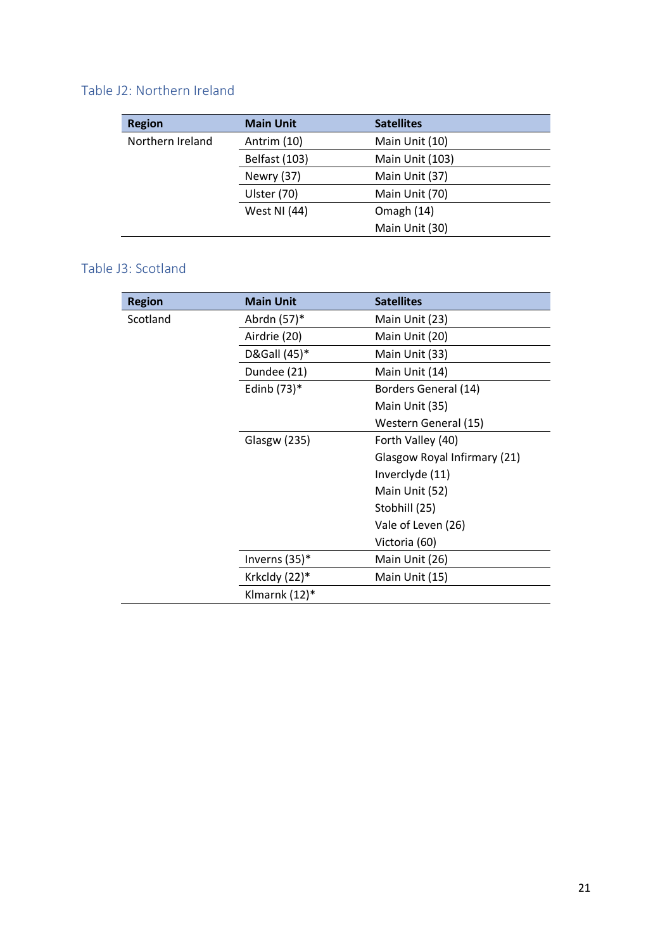### <span id="page-20-0"></span>Table J2: Northern Ireland

| <b>Region</b>    | <b>Main Unit</b>    | <b>Satellites</b> |
|------------------|---------------------|-------------------|
| Northern Ireland | Antrim (10)         | Main Unit (10)    |
|                  | Belfast (103)       | Main Unit (103)   |
|                  | Newry (37)          | Main Unit (37)    |
|                  | Ulster (70)         | Main Unit (70)    |
|                  | <b>West NI (44)</b> | Omagh (14)        |
|                  |                     | Main Unit (30)    |

#### <span id="page-20-1"></span>Table J3: Scotland

| <b>Region</b> | <b>Main Unit</b>    | <b>Satellites</b>            |
|---------------|---------------------|------------------------------|
| Scotland      | Abrdn (57)*         | Main Unit (23)               |
|               | Airdrie (20)        | Main Unit (20)               |
|               | D&Gall (45)*        | Main Unit (33)               |
|               | Dundee (21)         | Main Unit (14)               |
|               | Edinb $(73)^*$      | Borders General (14)         |
|               |                     | Main Unit (35)               |
|               |                     | Western General (15)         |
|               | <b>Glasgw (235)</b> | Forth Valley (40)            |
|               |                     | Glasgow Royal Infirmary (21) |
|               |                     | Inverclyde (11)              |
|               |                     | Main Unit (52)               |
|               |                     | Stobhill (25)                |
|               |                     | Vale of Leven (26)           |
|               |                     | Victoria (60)                |
|               | Inverns (35)*       | Main Unit (26)               |
|               | Krkcldy (22)*       | Main Unit (15)               |
|               | Klmarnk (12)*       |                              |